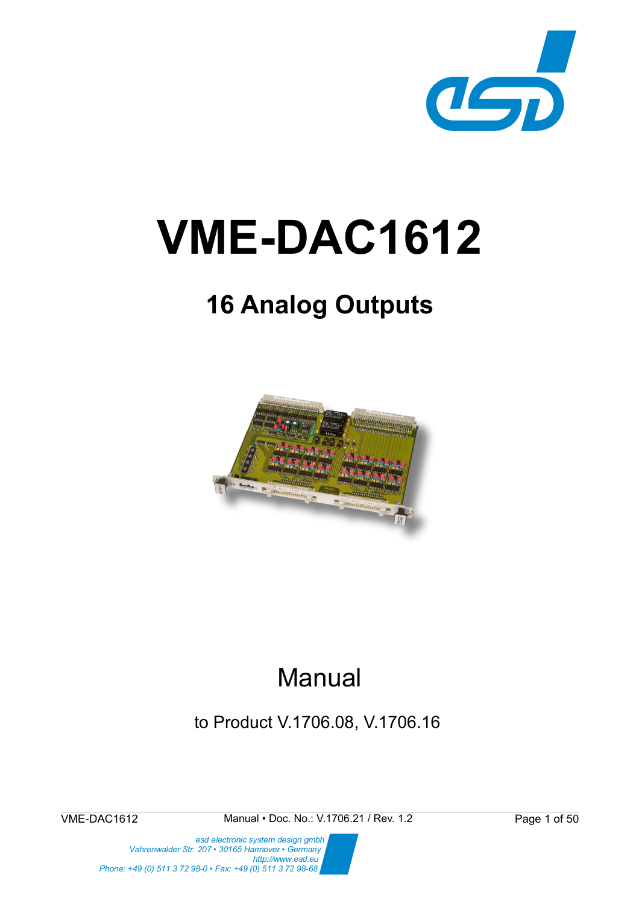

# **VME-DAC1612**

# **16 Analog Outputs**



# Manual

to Product V.1706.08, V.1706.16

VME-DAC1612 Manual • Doc. No.: V.1706.21 / Rev. 1.2 Page 1 of 50

 *esd electronic system design gmbh Vahrenwalder Str. 207 • 30165 Hannover • Germany http://www.esd.eu Phone: +49 (0) 511 3 72 98-0 • Fax: +49 (0) 511 3 72 98-68*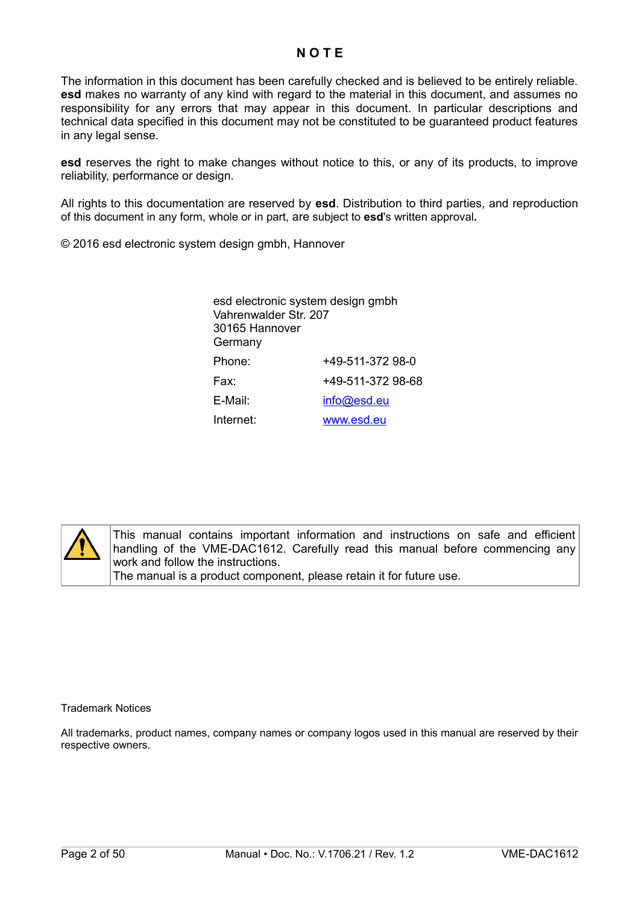#### **N O T E**

The information in this document has been carefully checked and is believed to be entirely reliable. **esd** makes no warranty of any kind with regard to the material in this document, and assumes no responsibility for any errors that may appear in this document. In particular descriptions and technical data specified in this document may not be constituted to be guaranteed product features in any legal sense.

**esd** reserves the right to make changes without notice to this, or any of its products, to improve reliability, performance or design.

All rights to this documentation are reserved by **esd**. Distribution to third parties, and reproduction of this document in any form, whole or in part, are subject to **esd**'s written approval**.**

© 2016 esd electronic system design gmbh, Hannover

| esd electronic system design gmbh<br>Vahrenwalder Str. 207<br>30165 Hannover<br>Germany |                   |  |  |
|-----------------------------------------------------------------------------------------|-------------------|--|--|
| Phone:                                                                                  | +49-511-372 98-0  |  |  |
| Fax:                                                                                    | +49-511-372 98-68 |  |  |
| E-Mail:                                                                                 | info@esd.eu       |  |  |
| Internet:                                                                               | www.esd.eu        |  |  |



This manual contains important information and instructions on safe and efficient handling of the VME-DAC1612. Carefully read this manual before commencing any work and follow the instructions. The manual is a product component, please retain it for future use.

Trademark Notices

All trademarks, product names, company names or company logos used in this manual are reserved by their respective owners.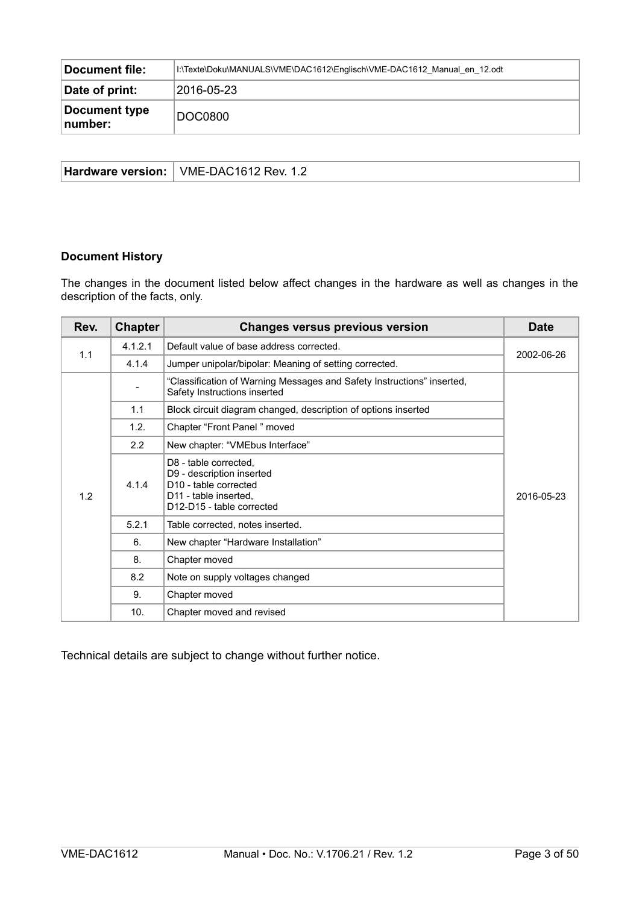| <b>Document file:</b>    | I:\Texte\Doku\MANUALS\VME\DAC1612\Englisch\VME-DAC1612 Manual en 12.odt |  |
|--------------------------|-------------------------------------------------------------------------|--|
| Date of print:           | 2016-05-23                                                              |  |
| Document type<br>number: | <b>DOC0800</b>                                                          |  |

| <b>Hardware version:</b> | VME-DAC1612 Rev. 1.2 |
|--------------------------|----------------------|
|--------------------------|----------------------|

#### **Document History**

The changes in the document listed below affect changes in the hardware as well as changes in the description of the facts, only.

| Rev. | <b>Chapter</b> | <b>Changes versus previous version</b>                                                                                                        | <b>Date</b> |
|------|----------------|-----------------------------------------------------------------------------------------------------------------------------------------------|-------------|
| 1.1  | 4.1.2.1        | Default value of base address corrected.                                                                                                      |             |
|      | 4.1.4          | Jumper unipolar/bipolar: Meaning of setting corrected.                                                                                        | 2002-06-26  |
|      |                | "Classification of Warning Messages and Safety Instructions" inserted,<br>Safety Instructions inserted                                        |             |
|      | 1.1            | Block circuit diagram changed, description of options inserted                                                                                |             |
|      | 1.2.           | Chapter "Front Panel" moved                                                                                                                   |             |
|      | $2.2^{\circ}$  | New chapter: "VMEbus Interface"                                                                                                               |             |
| 1.2  | 4.1.4          | D8 - table corrected,<br>D9 - description inserted<br>D10 - table corrected<br>D <sub>11</sub> - table inserted,<br>D12-D15 - table corrected | 2016-05-23  |
|      | 5.2.1          | Table corrected, notes inserted.                                                                                                              |             |
|      | 6.             | New chapter "Hardware Installation"                                                                                                           |             |
|      | 8.             | Chapter moved                                                                                                                                 |             |
|      | 8.2            | Note on supply voltages changed                                                                                                               |             |
|      | 9.             | Chapter moved                                                                                                                                 |             |
|      | 10.            | Chapter moved and revised                                                                                                                     |             |

Technical details are subject to change without further notice.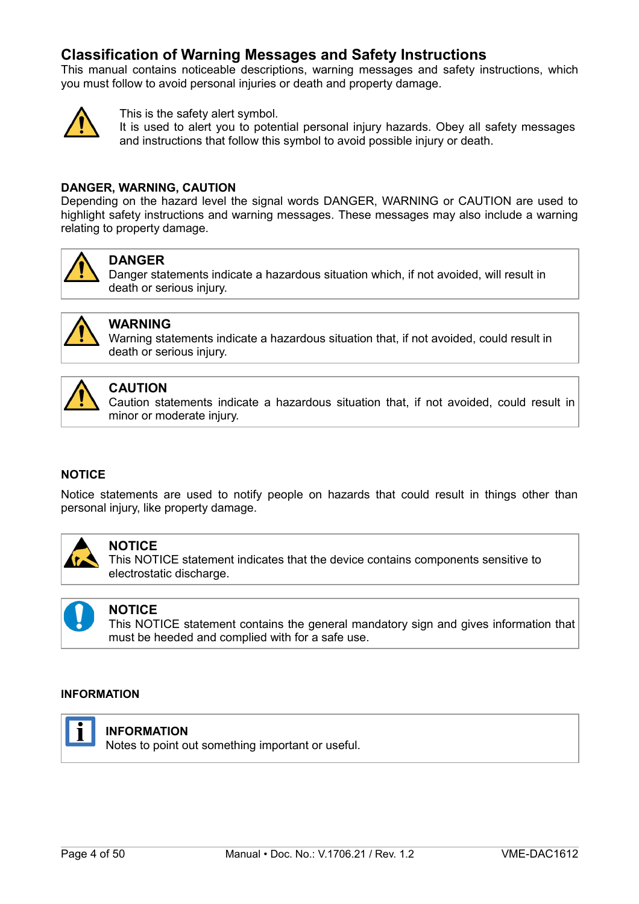### **Classification of Warning Messages and Safety Instructions**

This manual contains noticeable descriptions, warning messages and safety instructions, which you must follow to avoid personal injuries or death and property damage.



This is the safety alert symbol.

It is used to alert you to potential personal injury hazards. Obey all safety messages and instructions that follow this symbol to avoid possible injury or death.

#### **DANGER, WARNING, CAUTION**

Depending on the hazard level the signal words DANGER, WARNING or CAUTION are used to highlight safety instructions and warning messages. These messages may also include a warning relating to property damage.



#### **DANGER**

Danger statements indicate a hazardous situation which, if not avoided, will result in death or serious injury.



#### **WARNING**

Warning statements indicate a hazardous situation that, if not avoided, could result in death or serious injury.



#### **CAUTION**

Caution statements indicate a hazardous situation that, if not avoided, could result in minor or moderate injury.

#### **NOTICE**

Notice statements are used to notify people on hazards that could result in things other than personal injury, like property damage.



#### **NOTICE**

This NOTICE statement indicates that the device contains components sensitive to electrostatic discharge.



#### **NOTICE**

This NOTICE statement contains the general mandatory sign and gives information that must be heeded and complied with for a safe use.

#### **INFORMATION**



#### **INFORMATION**

Notes to point out something important or useful.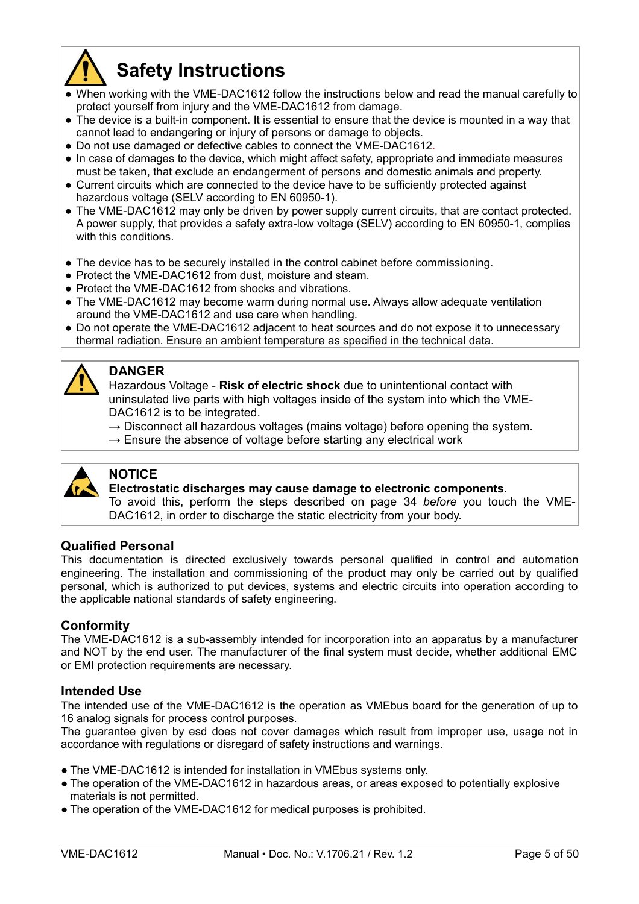

# <span id="page-4-0"></span>**Safety Instructions**

- When working with the VME-DAC1612 follow the instructions below and read the manual carefully to protect yourself from injury and the VME-DAC1612 from damage.
- The device is a built-in component. It is essential to ensure that the device is mounted in a way that cannot lead to endangering or injury of persons or damage to objects.
- Do not use damaged or defective cables to connect the VME-DAC1612.
- In case of damages to the device, which might affect safety, appropriate and immediate measures must be taken, that exclude an endangerment of persons and domestic animals and property.
- Current circuits which are connected to the device have to be sufficiently protected against hazardous voltage (SELV according to EN 60950-1).
- The VME-DAC1612 may only be driven by power supply current circuits, that are contact protected. A power supply, that provides a safety extra-low voltage (SELV) according to EN 60950-1, complies with this conditions.
- The device has to be securely installed in the control cabinet before commissioning.
- Protect the VME-DAC1612 from dust, moisture and steam.
- Protect the VME-DAC1612 from shocks and vibrations.
- The VME-DAC1612 may become warm during normal use. Always allow adequate ventilation around the VME-DAC1612 and use care when handling.
- Do not operate the VME-DAC1612 adjacent to heat sources and do not expose it to unnecessary thermal radiation. Ensure an ambient temperature as specified in the technical data.



#### **DANGER**

Hazardous Voltage - **Risk of electric shock** due to unintentional contact with uninsulated live parts with high voltages inside of the system into which the VME-DAC1612 is to be integrated.

- $\rightarrow$  Disconnect all hazardous voltages (mains voltage) before opening the system.
- $\rightarrow$  Ensure the absence of voltage before starting any electrical work



#### **NOTICE**

#### **Electrostatic discharges may cause damage to electronic components.**

To avoid this, perform the steps described on page [34](#page-33-0) *before* you touch the VME-DAC1612, in order to discharge the static electricity from your body.

#### **Qualified Personal**

This documentation is directed exclusively towards personal qualified in control and automation engineering. The installation and commissioning of the product may only be carried out by qualified personal, which is authorized to put devices, systems and electric circuits into operation according to the applicable national standards of safety engineering.

#### **Conformity**

The VME-DAC1612 is a sub-assembly intended for incorporation into an apparatus by a manufacturer and NOT by the end user. The manufacturer of the final system must decide, whether additional EMC or EMI protection requirements are necessary.

#### **Intended Use**

The intended use of the VME-DAC1612 is the operation as VMEbus board for the generation of up to 16 analog signals for process control purposes.

The guarantee given by esd does not cover damages which result from improper use, usage not in accordance with regulations or disregard of safety instructions and warnings.

- The VME-DAC1612 is intended for installation in VMEbus systems only.
- The operation of the VME-DAC1612 in hazardous areas, or areas exposed to potentially explosive materials is not permitted.
- The operation of the VME-DAC1612 for medical purposes is prohibited.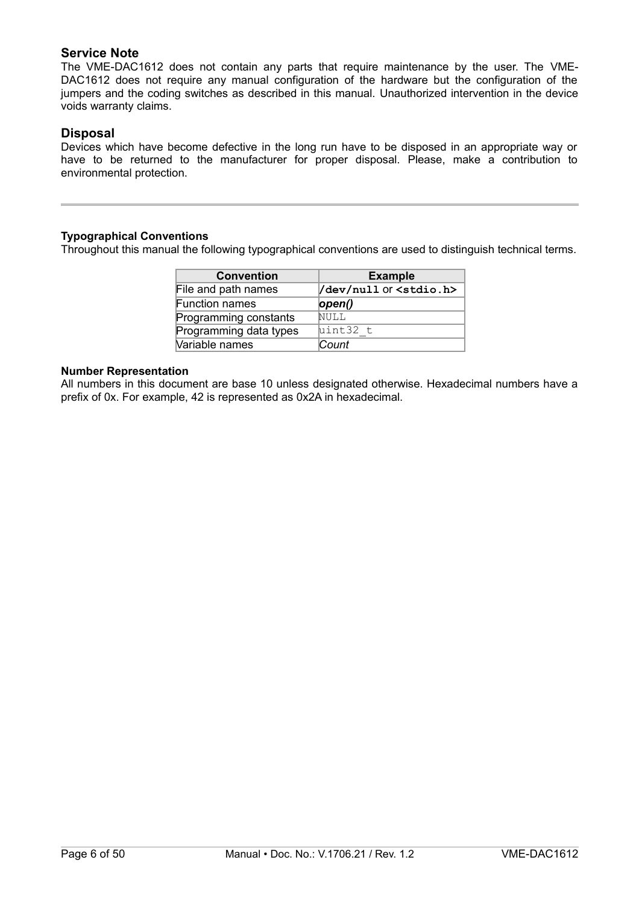#### **Service Note**

The VME-DAC1612 does not contain any parts that require maintenance by the user. The VME-DAC1612 does not require any manual configuration of the hardware but the configuration of the jumpers and the coding switches as described in this manual. Unauthorized intervention in the device voids warranty claims.

#### **Disposal**

Devices which have become defective in the long run have to be disposed in an appropriate way or have to be returned to the manufacturer for proper disposal. Please, make a contribution to environmental protection.

#### **Typographical Conventions**

Throughout this manual the following typographical conventions are used to distinguish technical terms.

| <b>Convention</b>      | <b>Example</b>                   |  |
|------------------------|----------------------------------|--|
| File and path names    | /dev/null Or <stdio.h></stdio.h> |  |
| Function names         | open()                           |  |
| Programming constants  | NULL                             |  |
| Programming data types | uint32 t                         |  |
| Variable names         | Count                            |  |

#### **Number Representation**

All numbers in this document are base 10 unless designated otherwise. Hexadecimal numbers have a prefix of 0x. For example, 42 is represented as 0x2A in hexadecimal.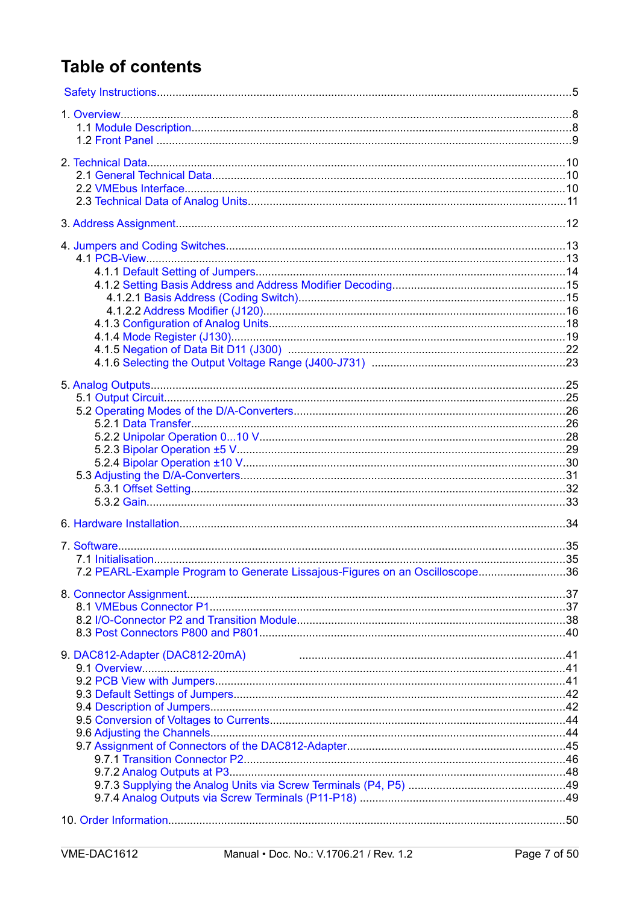# **Table of contents**

| 7.2 PEARL-Example Program to Generate Lissajous-Figures on an Oscilloscope36 |  |
|------------------------------------------------------------------------------|--|
|                                                                              |  |
|                                                                              |  |
|                                                                              |  |
|                                                                              |  |
|                                                                              |  |
| 9. DAC812-Adapter (DAC812-20mA)                                              |  |
|                                                                              |  |
|                                                                              |  |
|                                                                              |  |
|                                                                              |  |
|                                                                              |  |
|                                                                              |  |
|                                                                              |  |
|                                                                              |  |
|                                                                              |  |
|                                                                              |  |
|                                                                              |  |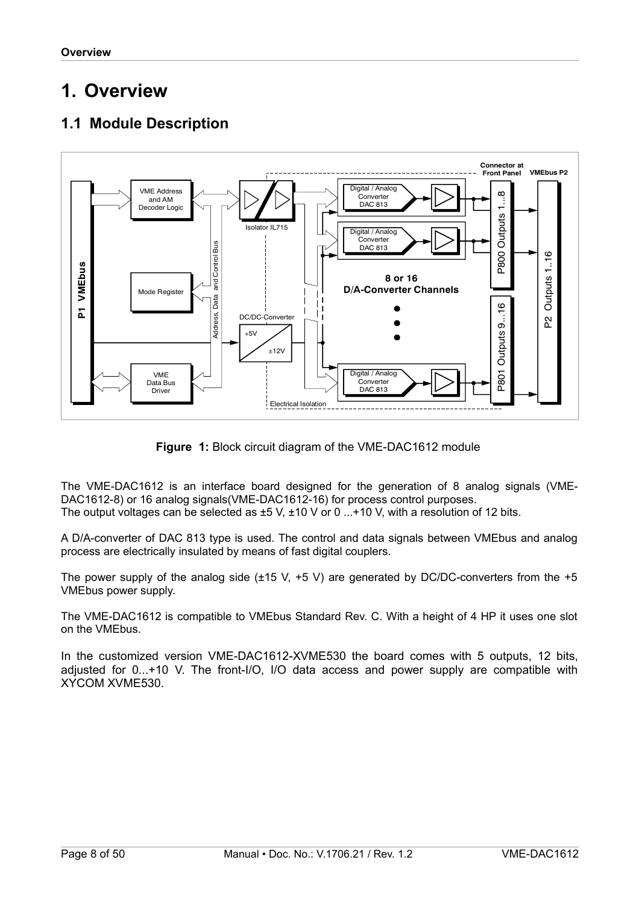# <span id="page-7-1"></span>**1. Overview**

# <span id="page-7-0"></span>**1.1 Module Description**



**Figure 1:** Block circuit diagram of the VME-DAC1612 module

The VME-DAC1612 is an interface board designed for the generation of 8 analog signals (VME-DAC1612-8) or 16 analog signals(VME-DAC1612-16) for process control purposes. The output voltages can be selected as  $\pm 5$  V,  $\pm 10$  V or 0  $\dots$ +10 V, with a resolution of 12 bits.

A D/A-converter of DAC 813 type is used. The control and data signals between VMEbus and analog process are electrically insulated by means of fast digital couplers.

The power supply of the analog side  $(\pm 15 \text{ V}, +5 \text{ V})$  are generated by DC/DC-converters from the  $+5$ VMEbus power supply.

The VME-DAC1612 is compatible to VMEbus Standard Rev. C. With a height of 4 HP it uses one slot on the VMEbus.

In the customized version VME-DAC1612-XVME530 the board comes with 5 outputs, 12 bits, adjusted for 0...+10 V. The front-I/O, I/O data access and power supply are compatible with XYCOM XVME530.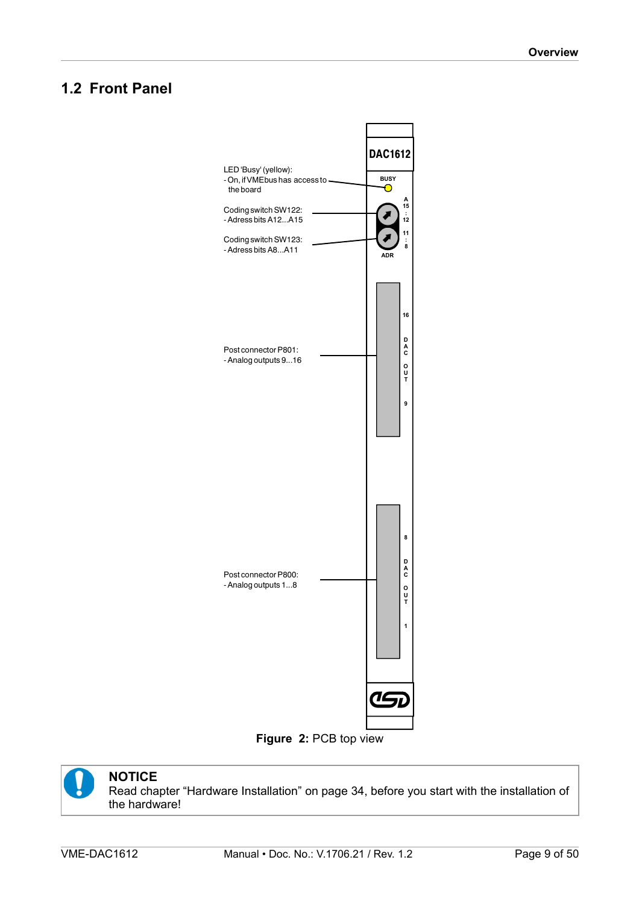# <span id="page-8-0"></span>**1.2 Front Panel**







#### **NOTICE**

Read chapter ["Hardware Installation"](#page-33-0) on page [34,](#page-33-0) before you start with the installation of the hardware!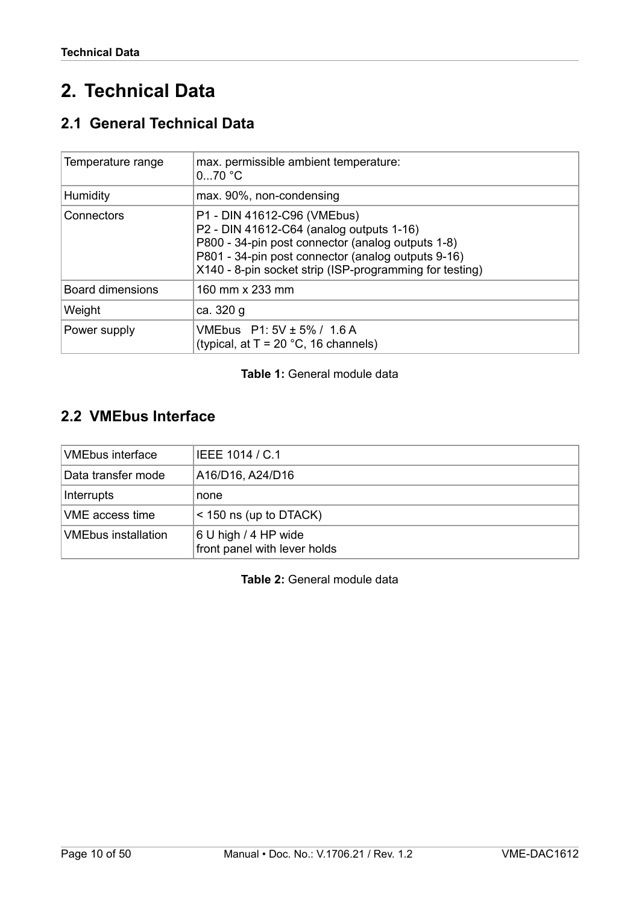# <span id="page-9-2"></span>**2. Technical Data**

# <span id="page-9-1"></span>**2.1 General Technical Data**

| Temperature range | max. permissible ambient temperature:<br>$070$ °C                                                                                                                                                                                             |  |
|-------------------|-----------------------------------------------------------------------------------------------------------------------------------------------------------------------------------------------------------------------------------------------|--|
| <b>Humidity</b>   | max. 90%, non-condensing                                                                                                                                                                                                                      |  |
| Connectors        | P1 - DIN 41612-C96 (VMEbus)<br>P2 - DIN 41612-C64 (analog outputs 1-16)<br>P800 - 34-pin post connector (analog outputs 1-8)<br>P801 - 34-pin post connector (analog outputs 9-16)<br>X140 - 8-pin socket strip (ISP-programming for testing) |  |
| Board dimensions  | 160 mm x 233 mm                                                                                                                                                                                                                               |  |
| Weight            | ca. 320 g                                                                                                                                                                                                                                     |  |
| Power supply      | VMEbus P1: 5V ± 5% / 1.6 A<br>(typical, at $T = 20$ °C, 16 channels)                                                                                                                                                                          |  |

#### **Table 1:** General module data

# <span id="page-9-0"></span>**2.2 VMEbus Interface**

| <b>VMEbus interface</b>    | IEEE 1014 / C.1                                      |  |
|----------------------------|------------------------------------------------------|--|
| Data transfer mode         | A16/D16, A24/D16                                     |  |
| Interrupts                 | none                                                 |  |
| VME access time            | $<$ 150 ns (up to DTACK)                             |  |
| <b>VMEbus installation</b> | 6 U high / 4 HP wide<br>front panel with lever holds |  |

**Table 2:** General module data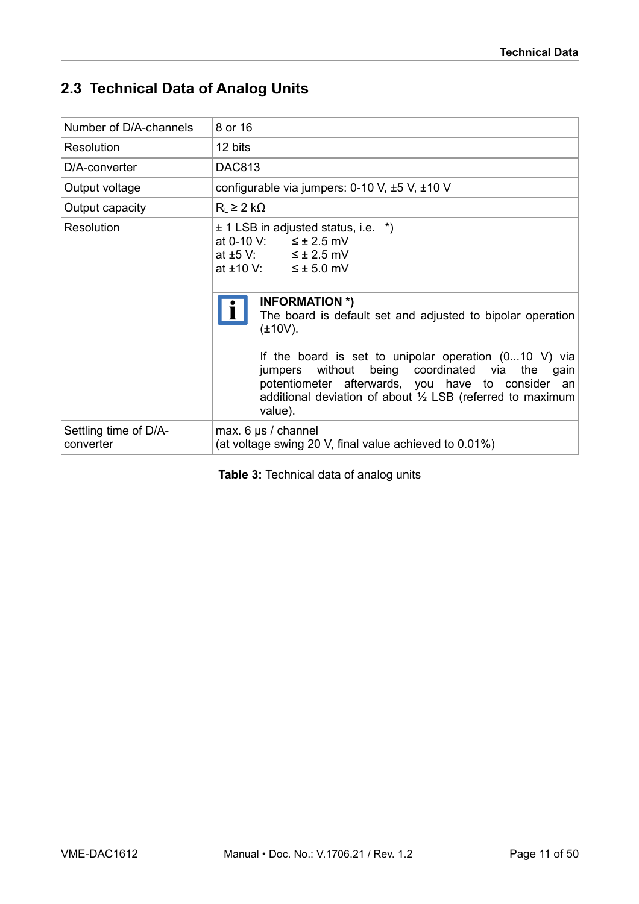# <span id="page-10-0"></span>**2.3 Technical Data of Analog Units**

| Number of D/A-channels             | 8 or 16                                                                                                                                                                                                                                                                                                                                                                                                                                                                                                                                  |  |  |
|------------------------------------|------------------------------------------------------------------------------------------------------------------------------------------------------------------------------------------------------------------------------------------------------------------------------------------------------------------------------------------------------------------------------------------------------------------------------------------------------------------------------------------------------------------------------------------|--|--|
| Resolution                         | 12 bits                                                                                                                                                                                                                                                                                                                                                                                                                                                                                                                                  |  |  |
| D/A-converter                      | <b>DAC813</b>                                                                                                                                                                                                                                                                                                                                                                                                                                                                                                                            |  |  |
| Output voltage                     | configurable via jumpers: $0-10$ V, $\pm 5$ V, $\pm 10$ V                                                                                                                                                                                                                                                                                                                                                                                                                                                                                |  |  |
| Output capacity                    | $R_L \geq 2 k\Omega$                                                                                                                                                                                                                                                                                                                                                                                                                                                                                                                     |  |  |
| Resolution                         | $\pm$ 1 LSB in adjusted status, i.e. $\ast$ )<br>at 0-10 V: $\leq \pm 2.5$ mV<br>at $\pm 5$ V: $\leq \pm 2.5$ mV<br>at $\pm 10 \text{ V}$ : $\leq \pm 5.0 \text{ mV}$<br><b>INFORMATION *)</b><br>The board is default set and adjusted to bipolar operation<br>$(\pm 10V)$ .<br>If the board is set to unipolar operation $(010 V)$ via<br>without being coordinated via the<br>jumpers<br>gain<br>potentiometer afterwards, you have to consider an<br>additional deviation of about $\frac{1}{2}$ LSB (referred to maximum<br>value). |  |  |
| Settling time of D/A-<br>converter | max. $6 \mu s /$ channel<br>(at voltage swing 20 V, final value achieved to 0.01%)                                                                                                                                                                                                                                                                                                                                                                                                                                                       |  |  |

**Table 3:** Technical data of analog units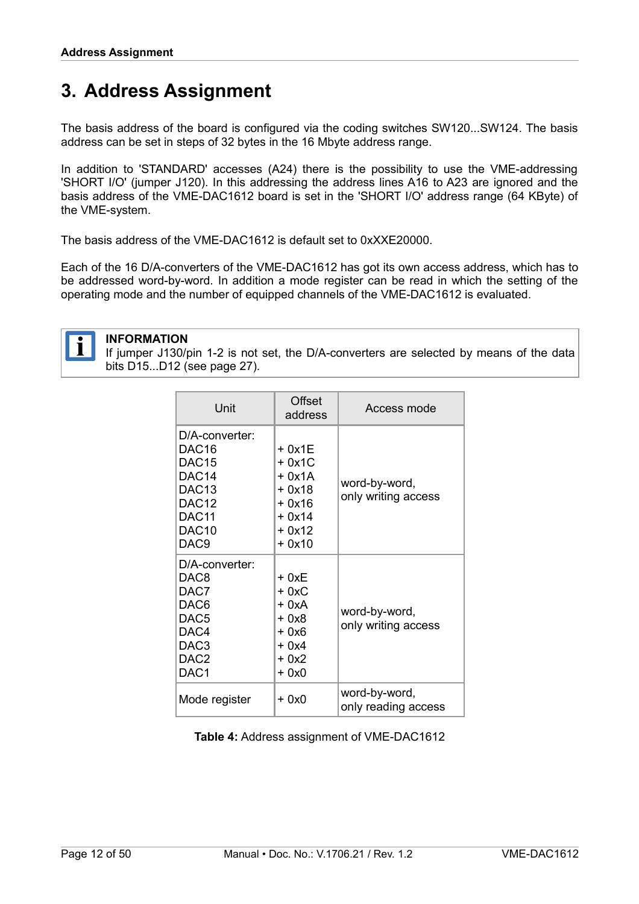# <span id="page-11-0"></span>**3. Address Assignment**

The basis address of the board is configured via the coding switches SW120...SW124. The basis address can be set in steps of 32 bytes in the 16 Mbyte address range.

In addition to 'STANDARD' accesses (A24) there is the possibility to use the VME-addressing 'SHORT I/O' (jumper J120). In this addressing the address lines A16 to A23 are ignored and the basis address of the VME-DAC1612 board is set in the 'SHORT I/O' address range (64 KByte) of the VME-system.

The basis address of the VME-DAC1612 is default set to 0xXXE20000.

Each of the 16 D/A-converters of the VME-DAC1612 has got its own access address, which has to be addressed word-by-word. In addition a mode register can be read in which the setting of the operating mode and the number of equipped channels of the VME-DAC1612 is evaluated.



#### **INFORMATION**

If jumper J130/pin 1-2 is not set, the D/A-converters are selected by means of the data bits D15...D12 (see page [27\)](#page-26-0).

| Unit                                                                                                                                                                                     | Offset<br>address                                                                | Access mode                          |
|------------------------------------------------------------------------------------------------------------------------------------------------------------------------------------------|----------------------------------------------------------------------------------|--------------------------------------|
| $D/A$ -converter:<br>DAC <sub>16</sub><br>DAC <sub>15</sub><br>DAC <sub>14</sub><br>DAC <sub>13</sub><br>DAC <sub>12</sub><br>DAC <sub>11</sub><br>DAC <sub>10</sub><br>DAC <sub>9</sub> | + 0x1E<br>$+0x1C$<br>+ 0x1A<br>+ 0x18<br>+ 0x16<br>$+0x14$<br>$+0x12$<br>$+0x10$ | word-by-word,<br>only writing access |
| D/A-converter:<br>DAC8<br>DAC7<br>DAC <sub>6</sub><br>DAC <sub>5</sub><br>DAC4<br>DAC <sub>3</sub><br>DAC <sub>2</sub><br>DAC <sub>1</sub>                                               | + 0xE<br>+ 0xC<br>$+ 0xA$<br>$+0x8$<br>$+0x6$<br>$+0x4$<br>+ 0x2<br>$+0x0$       | word-by-word,<br>only writing access |
| Mode register                                                                                                                                                                            | + 0x0                                                                            | word-by-word,<br>only reading access |

**Table 4:** Address assignment of VME-DAC1612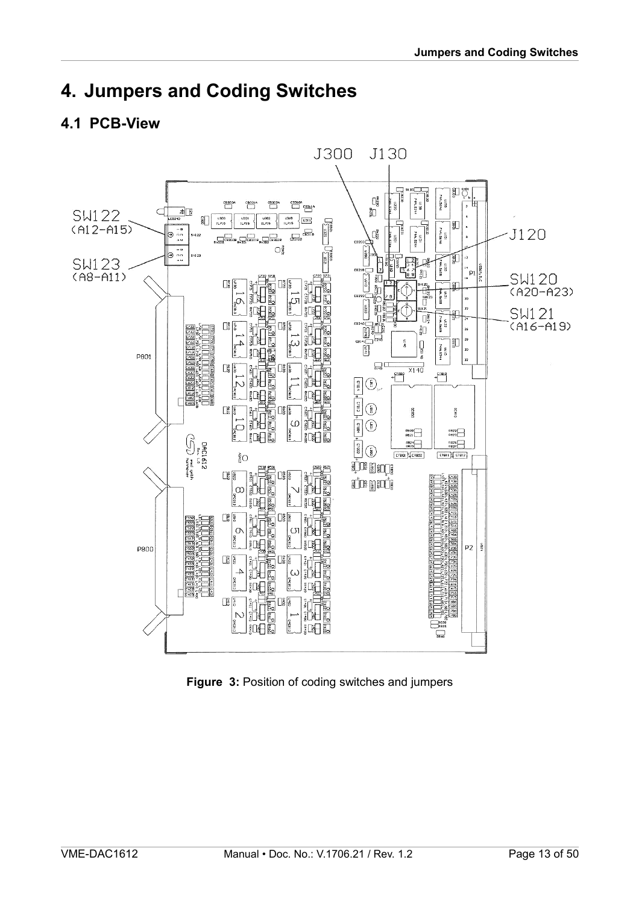# <span id="page-12-1"></span>**4. Jumpers and Coding Switches**

## <span id="page-12-0"></span>**4.1 PCB-View**



<span id="page-12-2"></span>**Figure 3:** Position of coding switches and jumpers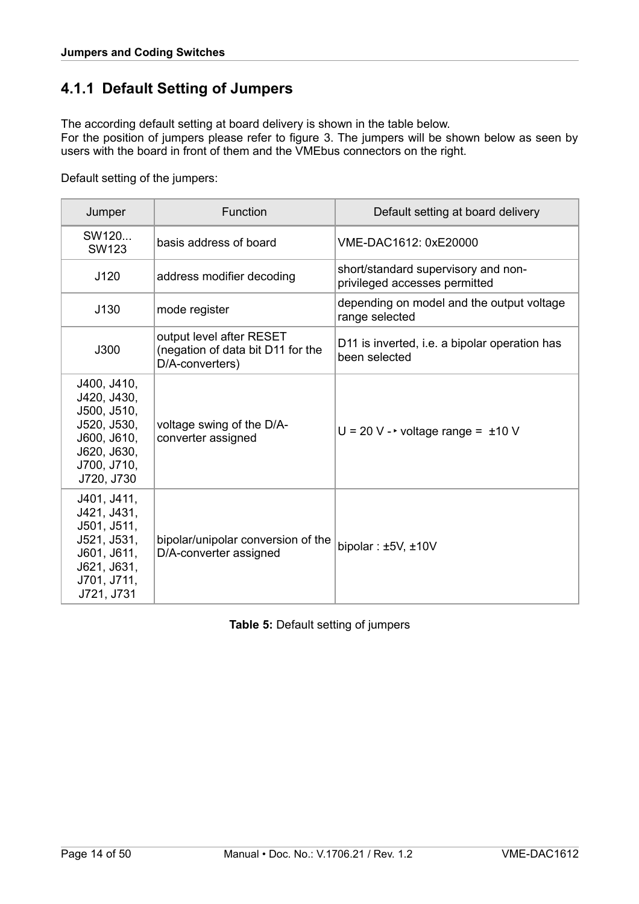# <span id="page-13-0"></span>**4.1.1 Default Setting of Jumpers**

The according default setting at board delivery is shown in the table below.

For the position of jumpers please refer to figure [3.](#page-12-2) The jumpers will be shown below as seen by users with the board in front of them and the VMEbus connectors on the right.

Default setting of the jumpers:

| Jumper                                                                                                              | <b>Function</b>                                                                  | Default setting at board delivery                                    |
|---------------------------------------------------------------------------------------------------------------------|----------------------------------------------------------------------------------|----------------------------------------------------------------------|
| SW120<br><b>SW123</b>                                                                                               | basis address of board                                                           | VME-DAC1612: 0xE20000                                                |
| J120                                                                                                                | address modifier decoding                                                        | short/standard supervisory and non-<br>privileged accesses permitted |
| J130                                                                                                                | mode register                                                                    | depending on model and the output voltage<br>range selected          |
| J300                                                                                                                | output level after RESET<br>(negation of data bit D11 for the<br>D/A-converters) | D11 is inverted, i.e. a bipolar operation has<br>been selected       |
| J400, J410,<br>J420, J430,<br>J500, J510,<br>J520, J530,<br>J600, J610,<br>J620, J630,<br>J700, J710,<br>J720, J730 | voltage swing of the D/A-<br>converter assigned                                  | $U = 20 V -$ voltage range = $\pm 10 V$                              |
| J401, J411,<br>J421, J431,<br>J501, J511,<br>J521, J531,<br>J601, J611,<br>J621, J631,<br>J701, J711,<br>J721, J731 | bipolar/unipolar conversion of the<br>D/A-converter assigned                     | bipolar: $±5V, ±10V$                                                 |

**Table 5:** Default setting of jumpers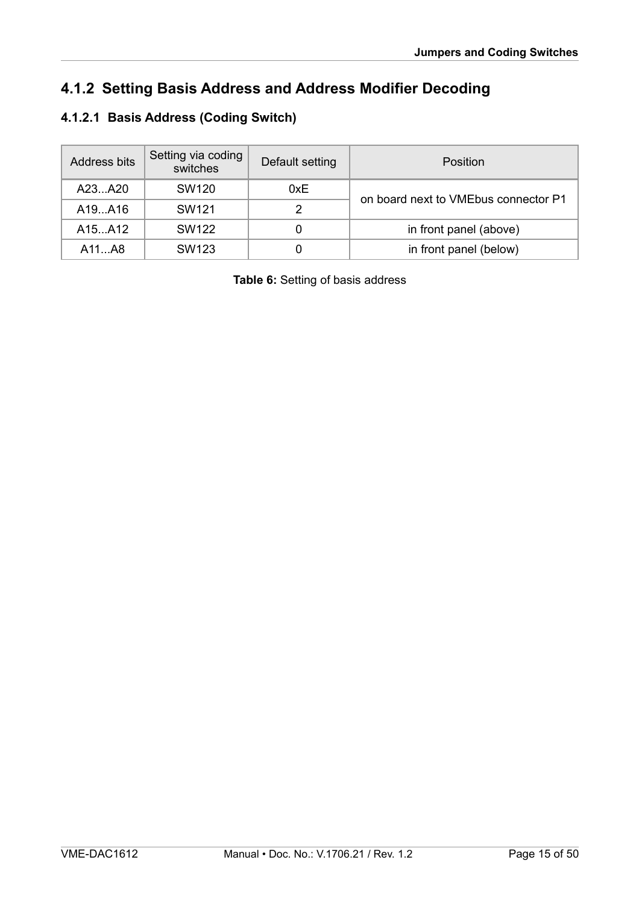# <span id="page-14-1"></span>**4.1.2 Setting Basis Address and Address Modifier Decoding**

# <span id="page-14-0"></span>**4.1.2.1 Basis Address (Coding Switch)**

| Address bits | Setting via coding<br>switches | Default setting | Position                             |
|--------------|--------------------------------|-----------------|--------------------------------------|
| A23A20       | <b>SW120</b>                   | 0xE             | on board next to VMEbus connector P1 |
| A19. A16     | SW <sub>121</sub>              | 2               |                                      |
| A15A12       | SW122                          | 0               | in front panel (above)               |
| A11AB        | SW <sub>123</sub>              | 0               | in front panel (below)               |

**Table 6:** Setting of basis address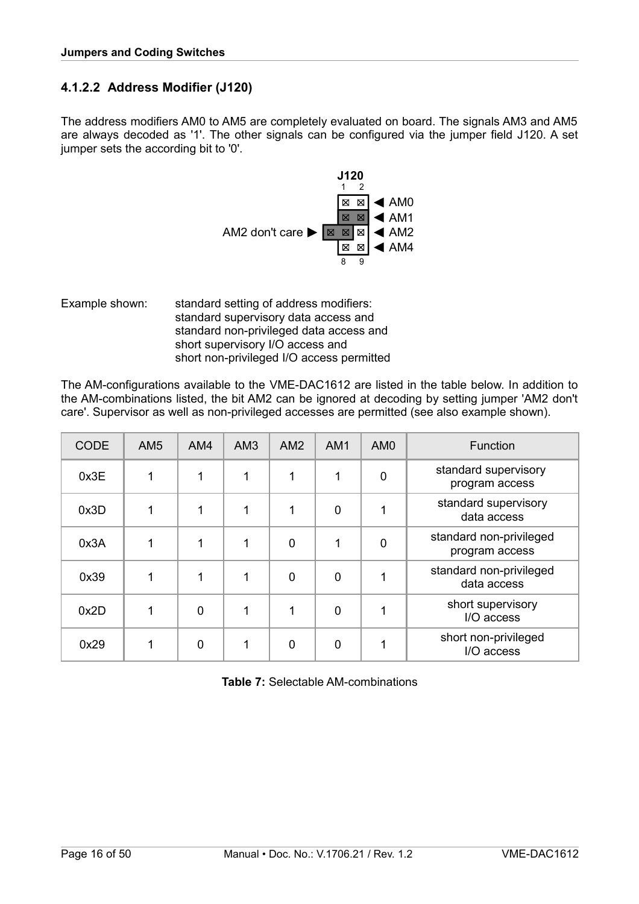#### <span id="page-15-0"></span>**4.1.2.2 Address Modifier (J120)**

The address modifiers AM0 to AM5 are completely evaluated on board. The signals AM3 and AM5 are always decoded as '1'. The other signals can be configured via the jumper field J120. A set jumper sets the according bit to '0'.



Example shown: standard setting of address modifiers: standard supervisory data access and standard non-privileged data access and short supervisory I/O access and short non-privileged I/O access permitted

The AM-configurations available to the VME-DAC1612 are listed in the table below. In addition to the AM-combinations listed, the bit AM2 can be ignored at decoding by setting jumper 'AM2 don't care'. Supervisor as well as non-privileged accesses are permitted (see also example shown).

| <b>CODE</b> | AM <sub>5</sub> | AM4         | AM3 | AM2         | AM <sub>1</sub> | AM <sub>0</sub> | <b>Function</b>                           |
|-------------|-----------------|-------------|-----|-------------|-----------------|-----------------|-------------------------------------------|
| 0x3E        | 1               | 1           |     |             | 1               | 0               | standard supervisory<br>program access    |
| 0x3D        | 1               | 1           | 1   |             | $\mathbf 0$     | 1               | standard supervisory<br>data access       |
| 0x3A        |                 | 1           | 1   | $\mathbf 0$ | 1               | 0               | standard non-privileged<br>program access |
| 0x39        | 1               | 1           | 1   | $\mathbf 0$ | $\mathbf 0$     | 1               | standard non-privileged<br>data access    |
| 0x2D        | 1               | $\mathbf 0$ | 1   |             | $\mathbf 0$     | 1               | short supervisory<br>I/O access           |
| 0x29        |                 | 0           |     | $\mathbf 0$ | $\overline{0}$  | 4               | short non-privileged<br>I/O access        |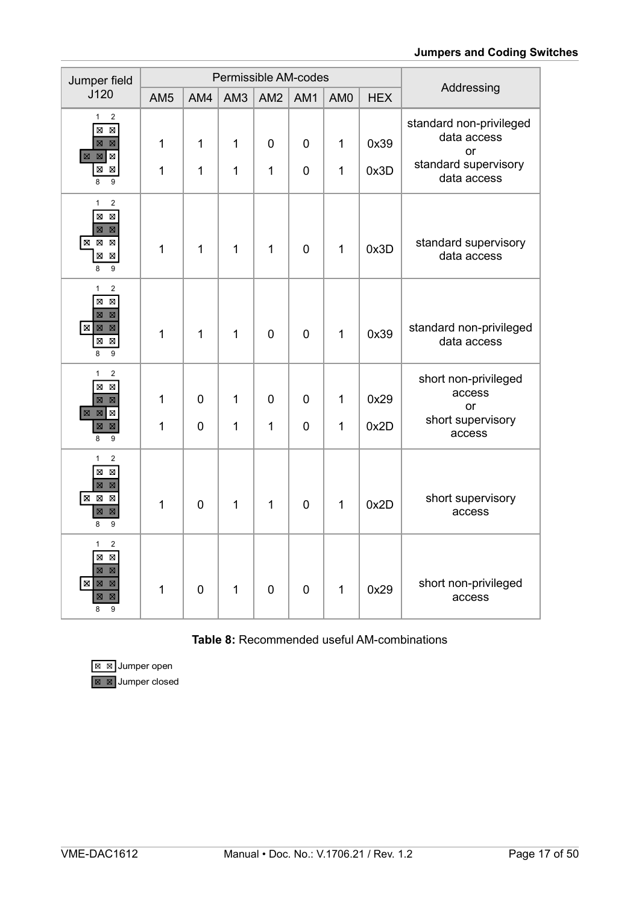| Jumper field                                                                                                                                                                                                     |                  |                  | Permissible AM-codes         |                                |                            |                  |              |                                                                                     |  |
|------------------------------------------------------------------------------------------------------------------------------------------------------------------------------------------------------------------|------------------|------------------|------------------------------|--------------------------------|----------------------------|------------------|--------------|-------------------------------------------------------------------------------------|--|
| J120                                                                                                                                                                                                             | AM <sub>5</sub>  | AM4              | AM <sub>3</sub>              | AM <sub>2</sub>                | AM1                        | AM <sub>0</sub>  | <b>HEX</b>   | Addressing                                                                          |  |
| $\mathbf{1}$<br>$\boldsymbol{2}$<br>$\boxtimes$<br>$\boxtimes$<br>$\boxtimes$<br>$\boxtimes$<br>$\boxtimes$<br>$\boxtimes$<br>$\boxtimes$<br>$\boxtimes$<br>Χ<br>9<br>8                                          | $\mathbf 1$<br>1 | 1<br>1           | $\mathbf 1$<br>$\mathbf{1}$  | $\overline{0}$<br>$\mathbf{1}$ | $\mathbf 0$<br>$\mathbf 0$ | $\mathbf 1$<br>1 | 0x39<br>0x3D | standard non-privileged<br>data access<br>or<br>standard supervisory<br>data access |  |
| $\mathbf{1}$<br>$\boldsymbol{2}$<br>$\overline{\boxtimes}$<br>$\overline{\boxtimes}$<br>$\boxtimes$<br>$\boxtimes$<br>$\boxtimes$<br>$\boxtimes$<br>$\boxed{\mathbb{Z}}$<br>$\boxtimes$<br>$\boxtimes$<br>8<br>9 | 1                | 1                | $\mathbf{1}$                 | $\mathbf{1}$                   | $\mathbf 0$                | $\mathbf{1}$     | 0x3D         | standard supervisory<br>data access                                                 |  |
| $\overline{2}$<br>$\mathbf{1}$<br>$\boxtimes$<br>$\boxtimes$<br>$\boxtimes$<br>$\boxtimes$<br>$\overline{\mathbf{z}}$<br>$\boxtimes$<br>$\boxtimes$<br>$\boxtimes$<br>$\boxtimes$<br>9<br>8                      | 1                | 1                | $\mathbf{1}$                 | $\overline{0}$                 | $\mathbf 0$                | 1                | 0x39         | standard non-privileged<br>data access                                              |  |
| $\mathbf{1}$<br>$\overline{c}$<br>$\boxtimes$<br>$\boxtimes$<br>$\boxtimes$<br>$\boxtimes$<br>$\boxtimes$<br>$\boxtimes$<br>図<br>$\boxtimes$<br>$\boxtimes$<br>9<br>8                                            | 1<br>1           | 0<br>$\mathbf 0$ | $\mathbf{1}$<br>$\mathbf{1}$ | $\overline{0}$<br>$\mathbf{1}$ | $\mathbf 0$<br>$\mathbf 0$ | 1<br>1           | 0x29<br>0x2D | short non-privileged<br>access<br><b>or</b><br>short supervisory<br>access          |  |
| $\mathbf{1}$<br>$\sqrt{2}$<br>$\boxtimes$<br>$\boxtimes$<br>$\boxtimes$<br>$\boxtimes$<br>$\boxed{\boxtimes}$<br>$\boxtimes$<br>$\boxtimes$<br>$\boxtimes$<br>$\boxtimes$<br>9<br>8                              | 1                | $\mathbf 0$      | $\mathbf{1}$                 | $\mathbf{1}$                   | $\mathbf 0$                | 1                | 0x2D         | short supervisory<br>access                                                         |  |
| $\sqrt{2}$<br>$\mathbf{1}$<br>$\boxtimes$<br>$\boxtimes$<br>$\boxtimes$<br>$\boxtimes$<br>$\boxtimes$<br>$\boxtimes$<br>$\boxtimes$<br>$\boxtimes$<br>図<br>9<br>8                                                | $\mathbf 1$      | $\overline{0}$   | $\mathbf{1}$                 | $\overline{0}$                 | $\mathbf 0$                | $\mathbf{1}$     | 0x29         | short non-privileged<br>access                                                      |  |

#### **Table 8:** Recommended useful AM-combinations

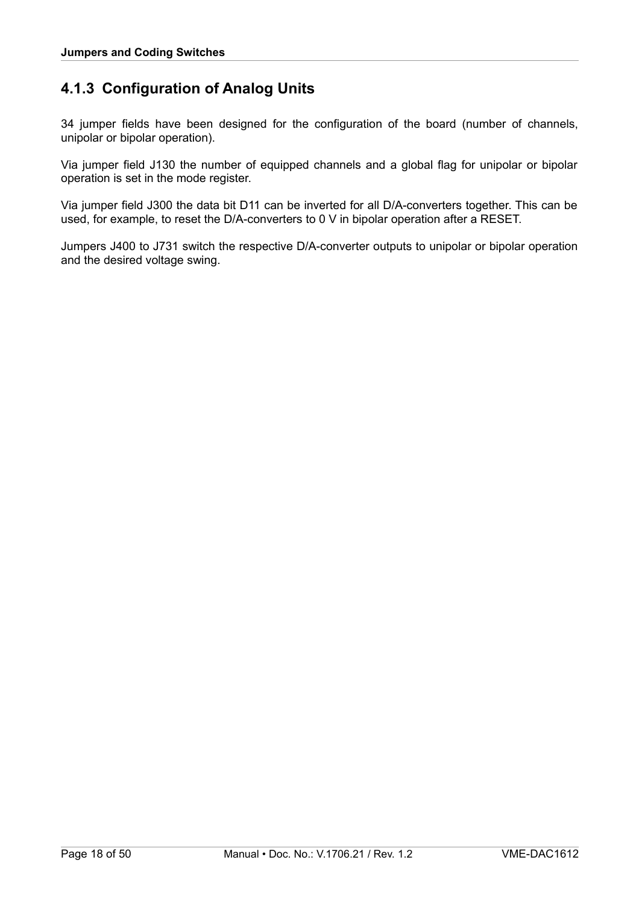### <span id="page-17-0"></span>**4.1.3 Configuration of Analog Units**

34 jumper fields have been designed for the configuration of the board (number of channels, unipolar or bipolar operation).

Via jumper field J130 the number of equipped channels and a global flag for unipolar or bipolar operation is set in the mode register.

Via jumper field J300 the data bit D11 can be inverted for all D/A-converters together. This can be used, for example, to reset the D/A-converters to 0 V in bipolar operation after a RESET.

Jumpers J400 to J731 switch the respective D/A-converter outputs to unipolar or bipolar operation and the desired voltage swing.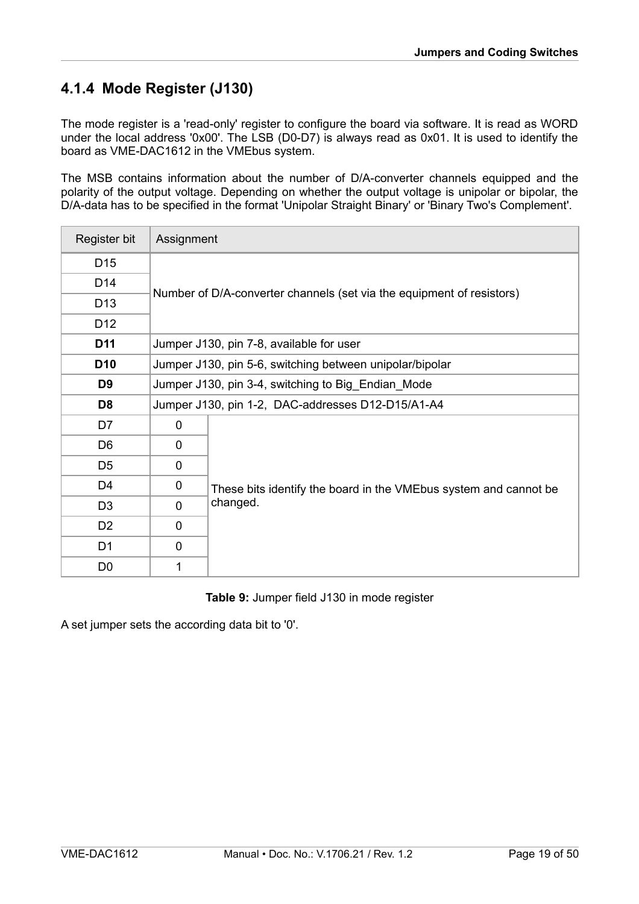# <span id="page-18-0"></span>**4.1.4 Mode Register (J130)**

The mode register is a 'read-only' register to configure the board via software. It is read as WORD under the local address '0x00'. The LSB (D0-D7) is always read as 0x01. It is used to identify the board as VME-DAC1612 in the VMEbus system.

The MSB contains information about the number of D/A-converter channels equipped and the polarity of the output voltage. Depending on whether the output voltage is unipolar or bipolar, the D/A-data has to be specified in the format 'Unipolar Straight Binary' or 'Binary Two's Complement'.

| Register bit    |                                                                       | Assignment                                                       |  |  |  |  |  |  |  |  |
|-----------------|-----------------------------------------------------------------------|------------------------------------------------------------------|--|--|--|--|--|--|--|--|
| D <sub>15</sub> |                                                                       |                                                                  |  |  |  |  |  |  |  |  |
| D14             |                                                                       |                                                                  |  |  |  |  |  |  |  |  |
| D <sub>13</sub> | Number of D/A-converter channels (set via the equipment of resistors) |                                                                  |  |  |  |  |  |  |  |  |
| D <sub>12</sub> |                                                                       |                                                                  |  |  |  |  |  |  |  |  |
| D <sub>11</sub> |                                                                       | Jumper J130, pin 7-8, available for user                         |  |  |  |  |  |  |  |  |
| D <sub>10</sub> |                                                                       | Jumper J130, pin 5-6, switching between unipolar/bipolar         |  |  |  |  |  |  |  |  |
| D <sub>9</sub>  | Jumper J130, pin 3-4, switching to Big_Endian_Mode                    |                                                                  |  |  |  |  |  |  |  |  |
| D <sub>8</sub>  |                                                                       | Jumper J130, pin 1-2, DAC-addresses D12-D15/A1-A4                |  |  |  |  |  |  |  |  |
| D7              | 0                                                                     |                                                                  |  |  |  |  |  |  |  |  |
| D <sub>6</sub>  | $\mathbf 0$                                                           |                                                                  |  |  |  |  |  |  |  |  |
| D <sub>5</sub>  | $\mathbf{0}$                                                          |                                                                  |  |  |  |  |  |  |  |  |
| D <sub>4</sub>  | 0                                                                     | These bits identify the board in the VMEbus system and cannot be |  |  |  |  |  |  |  |  |
| D <sub>3</sub>  | $\mathbf 0$                                                           | changed.                                                         |  |  |  |  |  |  |  |  |
| D <sub>2</sub>  | 0                                                                     |                                                                  |  |  |  |  |  |  |  |  |
| D <sub>1</sub>  | $\mathbf 0$                                                           |                                                                  |  |  |  |  |  |  |  |  |
| D <sub>0</sub>  | 1                                                                     |                                                                  |  |  |  |  |  |  |  |  |

#### **Table 9:** Jumper field J130 in mode register

A set jumper sets the according data bit to '0'.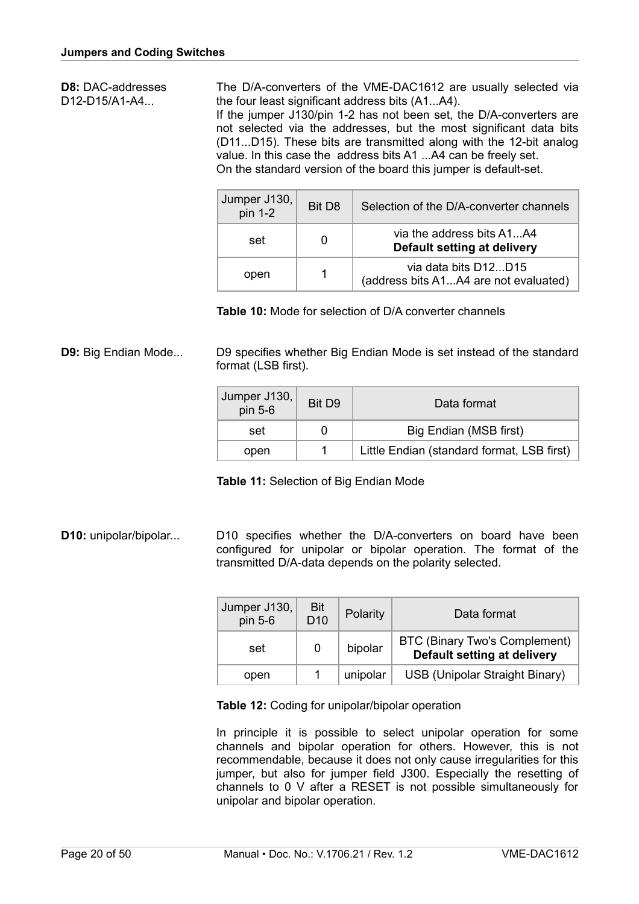**D8:** DAC-addresses D12-D15/A1-A4...

The D/A-converters of the VME-DAC1612 are usually selected via the four least significant address bits (A1...A4).

If the jumper J130/pin 1-2 has not been set, the D/A-converters are not selected via the addresses, but the most significant data bits (D11...D15). These bits are transmitted along with the 12-bit analog value. In this case the address bits A1 ...A4 can be freely set. On the standard version of the board this jumper is default-set.

| Jumper J130,<br>$pin 1-2$ | Bit D <sub>8</sub> | Selection of the D/A-converter channels                       |
|---------------------------|--------------------|---------------------------------------------------------------|
| set                       |                    | via the address bits A1A4<br>Default setting at delivery      |
| open                      |                    | via data bits D12D15<br>(address bits A1A4 are not evaluated) |

 **Table 10:** Mode for selection of D/A converter channels

**D9:** Big Endian Mode... D9 specifies whether Big Endian Mode is set instead of the standard format (LSB first).

| Jumper J130,<br>pin 5-6 | Bit D9 | Data format                                |
|-------------------------|--------|--------------------------------------------|
| set                     |        | Big Endian (MSB first)                     |
| open                    |        | Little Endian (standard format, LSB first) |

 **Table 11:** Selection of Big Endian Mode

**D10:** unipolar/bipolar... D10 specifies whether the D/A-converters on board have been configured for unipolar or bipolar operation. The format of the transmitted D/A-data depends on the polarity selected.

| Jumper J130,<br>pin 5-6 | Bit<br>D <sub>10</sub> | Polarity | Data format                                                  |
|-------------------------|------------------------|----------|--------------------------------------------------------------|
| 0<br>set                |                        | bipolar  | BTC (Binary Two's Complement)<br>Default setting at delivery |
| open                    |                        | unipolar | USB (Unipolar Straight Binary)                               |

 **Table 12:** Coding for unipolar/bipolar operation

In principle it is possible to select unipolar operation for some channels and bipolar operation for others. However, this is not recommendable, because it does not only cause irregularities for this jumper, but also for jumper field J300. Especially the resetting of channels to 0 V after a RESET is not possible simultaneously for unipolar and bipolar operation.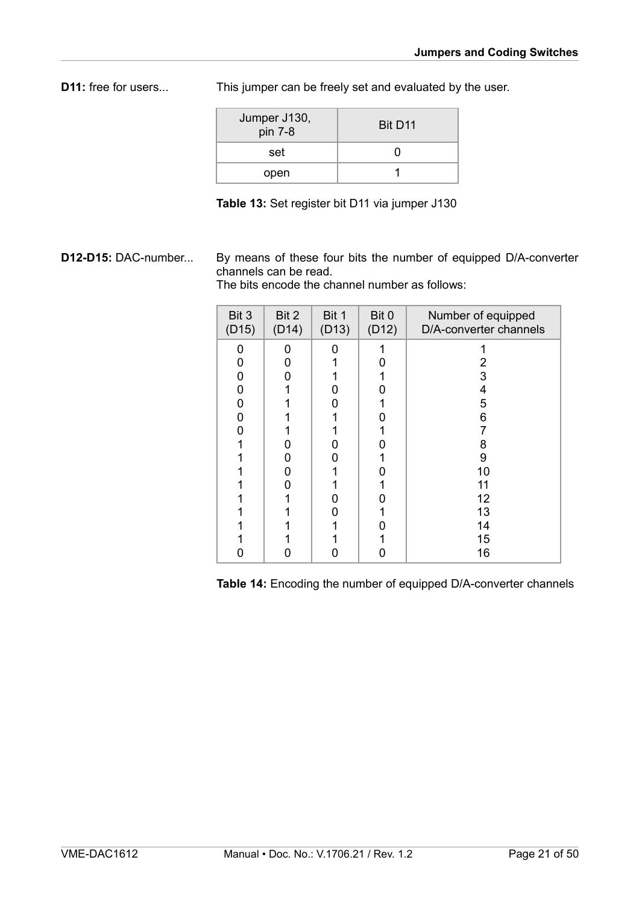**D11:** free for users... This jumper can be freely set and evaluated by the user.

| Jumper J130,<br>$pin 7-8$ | Bit D <sub>11</sub> |
|---------------------------|---------------------|
| set                       |                     |
| open                      |                     |

**Table 13:** Set register bit D11 via jumper J130

**D12-D15:** DAC-number... By means of these four bits the number of equipped D/A-converter channels can be read.

The bits encode the channel number as follows:

| Bit 3<br>(D15) | Bit 2<br>(D14) | Bit 1<br>(D13) | Bit 0<br>(D12) | Number of equipped<br>D/A-converter channels |
|----------------|----------------|----------------|----------------|----------------------------------------------|
| O              | O              |                |                |                                              |
| 0              | n              |                |                | 2                                            |
| 0              |                |                |                | 3                                            |
| 0              |                |                |                | 4                                            |
| 0              |                |                |                | 5                                            |
| ი              |                |                |                | 6                                            |
| Ω              |                |                |                |                                              |
|                |                |                |                | 8                                            |
|                |                |                |                | 9                                            |
|                |                |                |                | 10                                           |
|                |                |                |                | 11                                           |
|                |                |                |                | 12                                           |
|                |                |                |                | 13                                           |
|                |                |                |                | 14                                           |
|                |                |                |                | 15                                           |
|                |                |                |                | 16                                           |

 **Table 14:** Encoding the number of equipped D/A-converter channels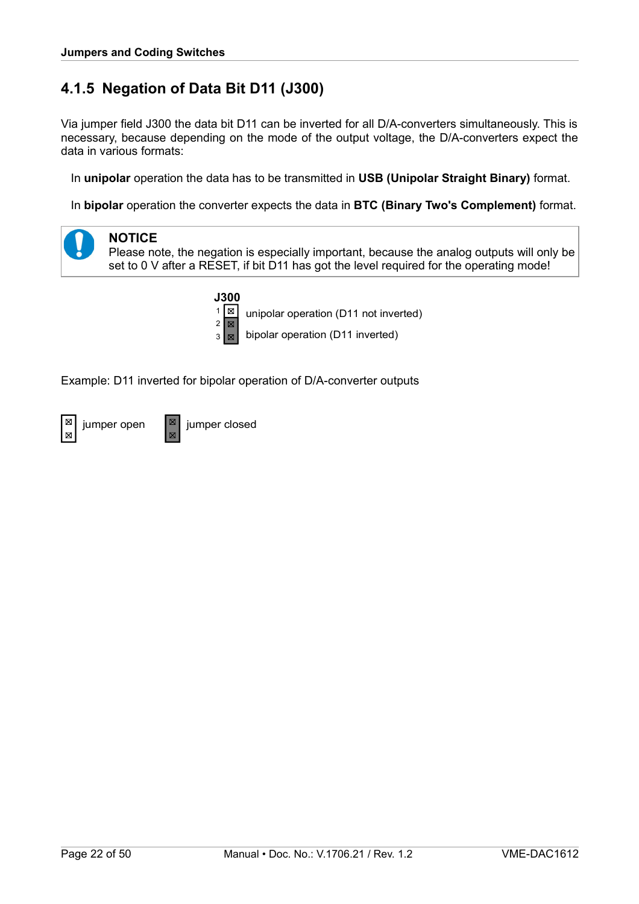# <span id="page-21-0"></span>**4.1.5 Negation of Data Bit D11 (J300)**

Via jumper field J300 the data bit D11 can be inverted for all D/A-converters simultaneously. This is necessary, because depending on the mode of the output voltage, the D/A-converters expect the data in various formats:

In **unipolar** operation the data has to be transmitted in **USB (Unipolar Straight Binary)** format.

In **bipolar** operation the converter expects the data in **BTC (Binary Two's Complement)** format.





Please note, the negation is especially important, because the analog outputs will only be set to 0 V after a RESET, if bit D11 has got the level required for the operating mode!



 $\frac{1}{2}$  unipolar operation (D11 not inverted)

 $3 \times$  bipolar operation (D11 inverted)

Example: D11 inverted for bipolar operation of D/A-converter outputs

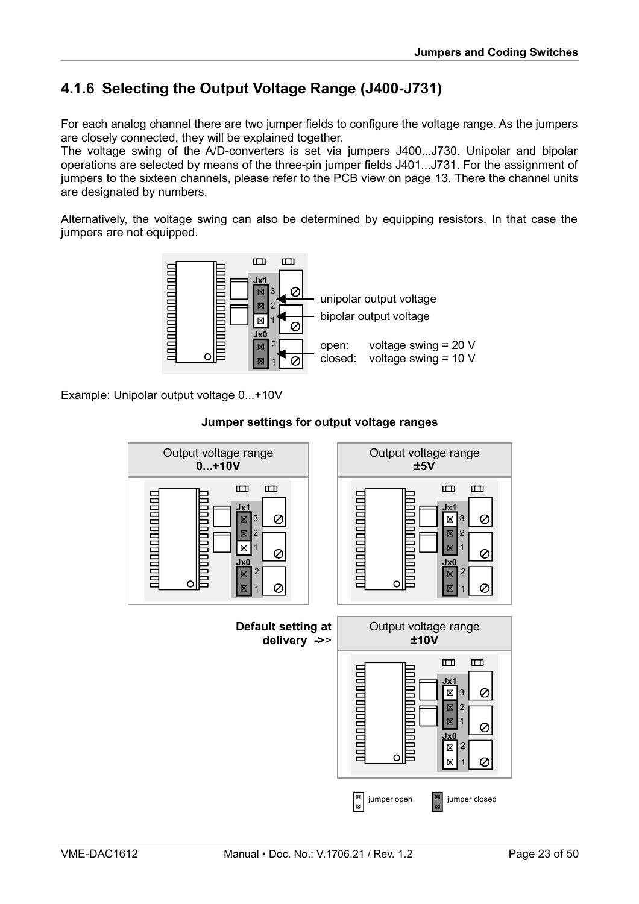# <span id="page-22-0"></span>**4.1.6 Selecting the Output Voltage Range (J400-J731)**

For each analog channel there are two jumper fields to configure the voltage range. As the jumpers are closely connected, they will be explained together.

The voltage swing of the A/D-converters is set via jumpers J400...J730. Unipolar and bipolar operations are selected by means of the three-pin jumper fields J401...J731. For the assignment of jumpers to the sixteen channels, please refer to the PCB view on page [13.](#page-12-0) There the channel units are designated by numbers.

Alternatively, the voltage swing can also be determined by equipping resistors. In that case the jumpers are not equipped.



Example: Unipolar output voltage 0...+10V



#### **Jumper settings for output voltage ranges**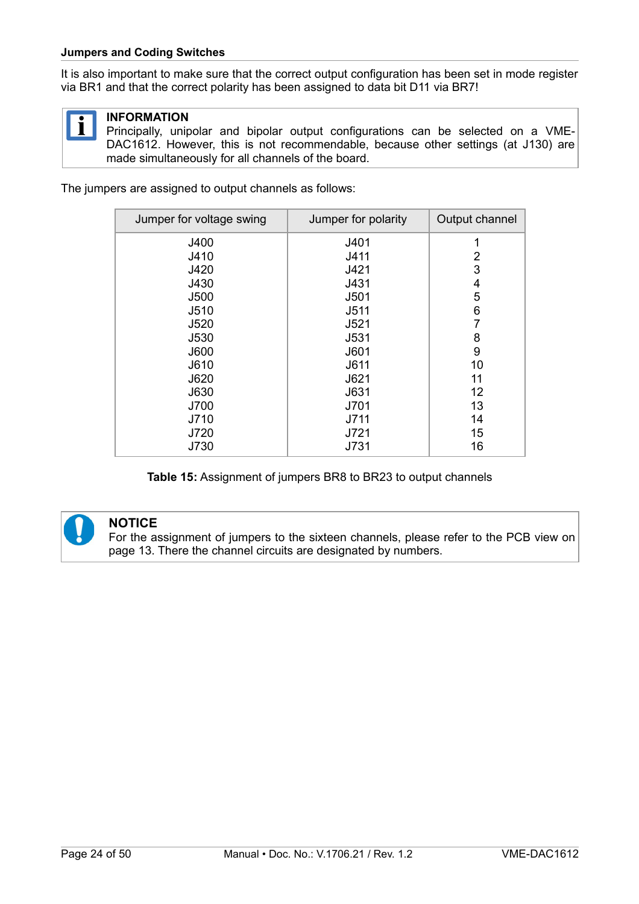#### **Jumpers and Coding Switches**

It is also important to make sure that the correct output configuration has been set in mode register via BR1 and that the correct polarity has been assigned to data bit D11 via BR7!



#### **INFORMATION**

Principally, unipolar and bipolar output configurations can be selected on a VME-DAC1612. However, this is not recommendable, because other settings (at J130) are made simultaneously for all channels of the board.

The jumpers are assigned to output channels as follows:

| Jumper for voltage swing | Jumper for polarity | Output channel |
|--------------------------|---------------------|----------------|
| J400                     | J401                | 1              |
| J410                     | J411                | 2              |
| J420                     | J421                | 3              |
| J430                     | J431                | 4              |
| <b>J500</b>              | J501                | 5              |
| J510                     | J511                | 6              |
| J520                     | J521                | 7              |
| J530                     | J531                | 8              |
| J600                     | J601                | 9              |
| J610                     | J611                | 10             |
| J620                     | J621                | 11             |
| J630                     | J631                | 12             |
| J700                     | J701                | 13             |
| J710                     | J711                | 14             |
| J720                     | J721                | 15             |
| J730                     | J731                | 16             |

**Table 15:** Assignment of jumpers BR8 to BR23 to output channels



#### **NOTICE**

For the assignment of jumpers to the sixteen channels, please refer to the PCB view on page [13.](#page-12-0) There the channel circuits are designated by numbers.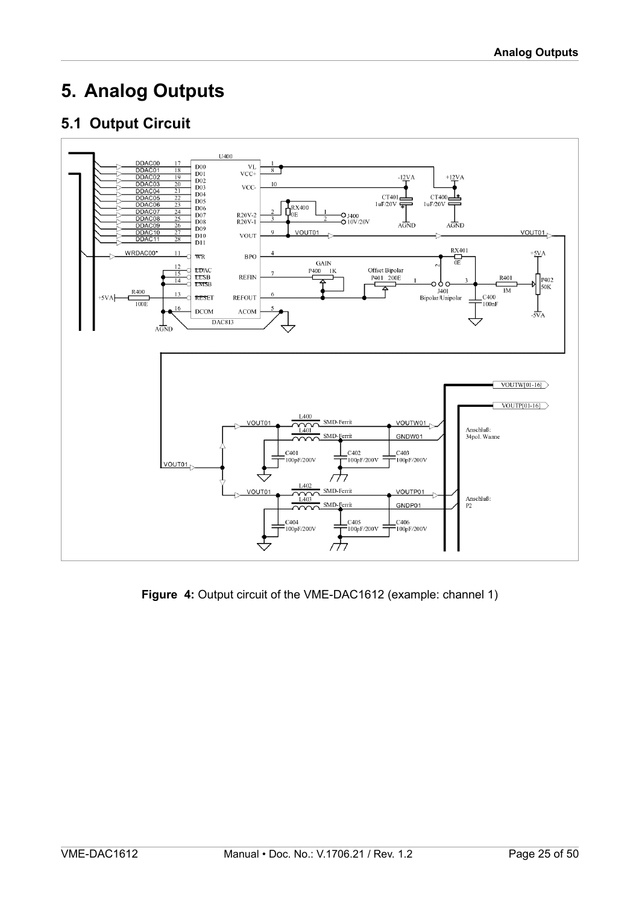# <span id="page-24-1"></span>**5. Analog Outputs**

# <span id="page-24-0"></span>**5.1 Output Circuit**



**Figure 4:** Output circuit of the VME-DAC1612 (example: channel 1)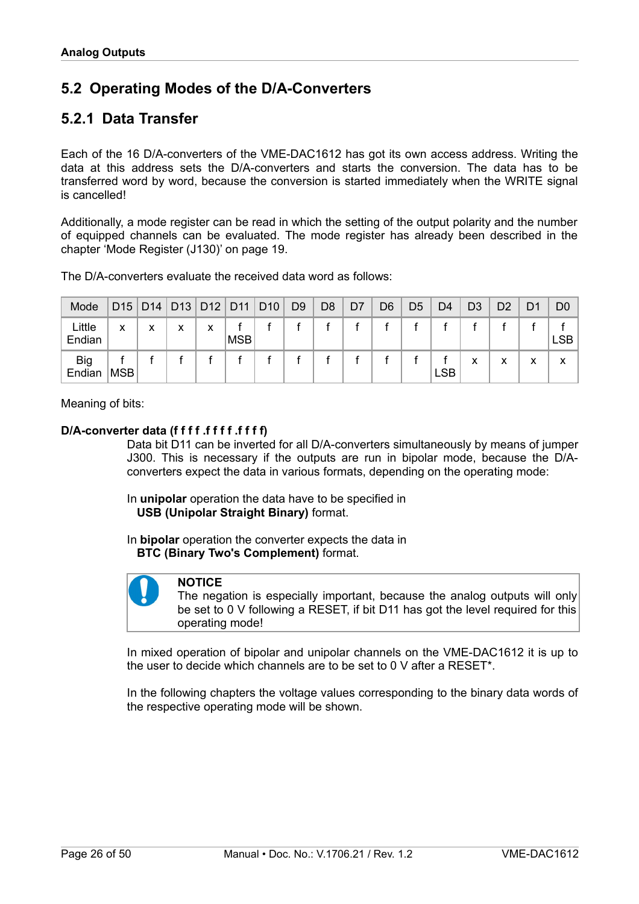# <span id="page-25-1"></span>**5.2 Operating Modes of the D/A-Converters**

### <span id="page-25-0"></span>**5.2.1 Data Transfer**

Each of the 16 D/A-converters of the VME-DAC1612 has got its own access address. Writing the data at this address sets the D/A-converters and starts the conversion. The data has to be transferred word by word, because the conversion is started immediately when the WRITE signal is cancelled!

Additionally, a mode register can be read in which the setting of the output polarity and the number of equipped channels can be evaluated. The mode register has already been described in the chapter ['Mode Register \(J130\)'](#page-18-0) on page [19.](#page-18-0)

| The D/A-converters evaluate the received data word as follows: |  |
|----------------------------------------------------------------|--|
|----------------------------------------------------------------|--|

| Mode                 |            |   |   |   | D15   D14   D13   D12   D11 | D <sub>10</sub> | D <sub>9</sub> | D <sub>8</sub> | D7 | D6 | D5 | D4         | D <sub>3</sub> | D <sub>2</sub> | D1 | D <sub>0</sub> |
|----------------------|------------|---|---|---|-----------------------------|-----------------|----------------|----------------|----|----|----|------------|----------------|----------------|----|----------------|
| Little<br>Endian     | x          | х | X | X | <b>MSB</b>                  |                 |                |                |    |    |    |            |                |                |    | <b>LSB</b>     |
| <b>Big</b><br>Endian | <b>MSB</b> |   |   |   |                             |                 |                |                |    |    |    | <b>LSB</b> | x              | v              | x  | x              |

Meaning of bits:

#### **D/A-converter data (f f f f .f f f f .f f f f)**

Data bit D11 can be inverted for all D/A-converters simultaneously by means of jumper J300. This is necessary if the outputs are run in bipolar mode, because the D/Aconverters expect the data in various formats, depending on the operating mode:

In **unipolar** operation the data have to be specified in  **USB (Unipolar Straight Binary)** format.

In **bipolar** operation the converter expects the data in  **BTC (Binary Two's Complement)** format.



#### **NOTICE**

The negation is especially important, because the analog outputs will only be set to 0 V following a RESET, if bit D11 has got the level required for this operating mode!

In mixed operation of bipolar and unipolar channels on the VME-DAC1612 it is up to the user to decide which channels are to be set to 0 V after a RESET\*.

In the following chapters the voltage values corresponding to the binary data words of the respective operating mode will be shown.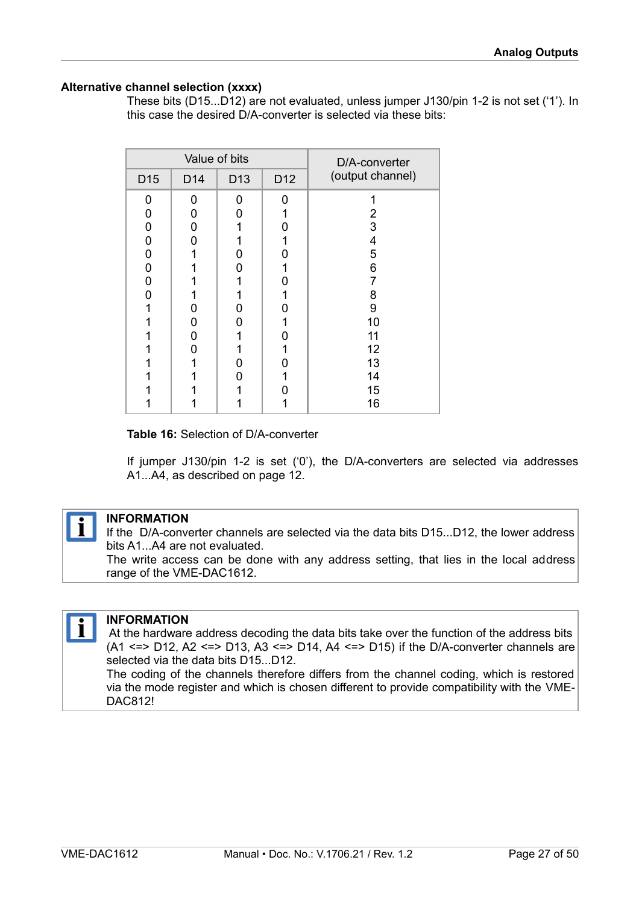#### **Alternative channel selection (xxxx)**

These bits (D15...D12) are not evaluated, unless jumper J130/pin 1-2 is not set ('1'). In this case the desired D/A-converter is selected via these bits:

| Value of bits   |                 |                 | D/A-converter   |                  |
|-----------------|-----------------|-----------------|-----------------|------------------|
| D <sub>15</sub> | D <sub>14</sub> | D <sub>13</sub> | D <sub>12</sub> | (output channel) |
| 0               | O               | 0               | n               |                  |
| 0               | 0               | ი               |                 | 2                |
| 0               | 0               |                 |                 | 3                |
| 0               | ი               |                 |                 | 4                |
| N               |                 |                 |                 | 5                |
|                 |                 | 1               |                 | 6                |
| ი               |                 |                 |                 | 7                |
| n               |                 |                 |                 | 8                |
|                 | ი               |                 |                 | 9                |
|                 | 0               | Ω               |                 | 10               |
|                 | n               |                 |                 | 11               |
|                 | n               |                 |                 | 12               |
|                 |                 | Ω               |                 | 13               |
|                 |                 | Ω               |                 | 14               |
|                 |                 |                 |                 | 15               |
|                 |                 |                 |                 | 16               |

#### <span id="page-26-0"></span>**Table 16:** Selection of D/A-converter

If jumper J130/pin 1-2 is set ('0'), the D/A-converters are selected via addresses A1...A4, as described on page [12.](#page-11-0)



#### **INFORMATION**

If the D/A-converter channels are selected via the data bits D15...D12, the lower address bits A1...A4 are not evaluated.

The write access can be done with any address setting, that lies in the local address range of the VME-DAC1612.



#### **INFORMATION**

 At the hardware address decoding the data bits take over the function of the address bits (A1 <=> D12, A2 <=> D13, A3 <=> D14, A4 <=> D15) if the D/A-converter channels are selected via the data bits D15...D12.

The coding of the channels therefore differs from the channel coding, which is restored via the mode register and which is chosen different to provide compatibility with the VME-DAC812!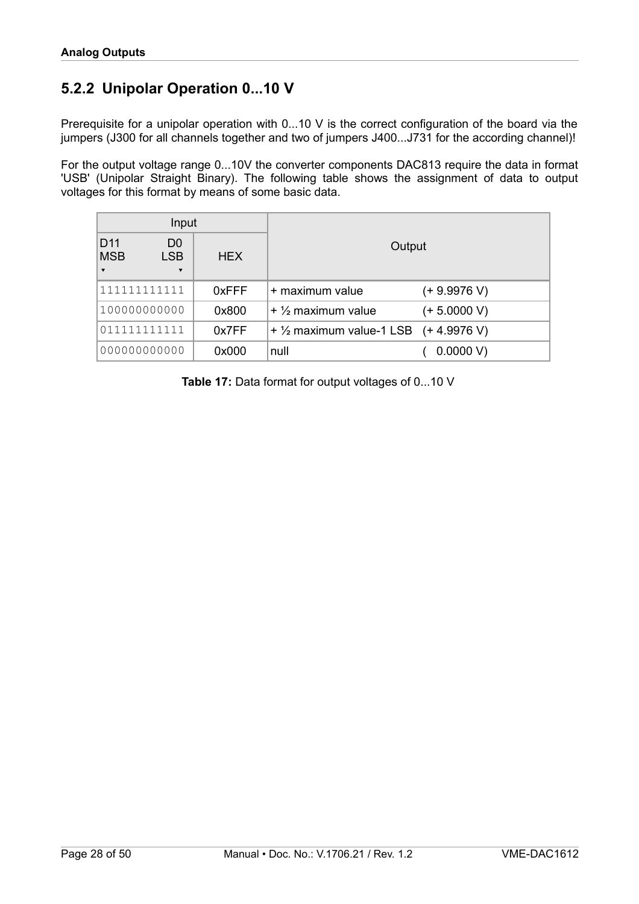# <span id="page-27-0"></span>**5.2.2 Unipolar Operation 0...10 V**

Prerequisite for a unipolar operation with 0...10 V is the correct configuration of the board via the jumpers (J300 for all channels together and two of jumpers J400...J731 for the according channel)!

For the output voltage range 0...10V the converter components DAC813 require the data in format 'USB' (Unipolar Straight Binary). The following table shows the assignment of data to output voltages for this format by means of some basic data.

| Input                                                    |                                                      |            |                                                  |                |  |
|----------------------------------------------------------|------------------------------------------------------|------------|--------------------------------------------------|----------------|--|
| D <sub>11</sub><br><b>MSB</b><br>$\overline{\mathbf{v}}$ | D <sub>0</sub><br><b>LSB</b><br>$\blacktriangledown$ | <b>HEX</b> | Output                                           |                |  |
| 111111111111                                             |                                                      | 0xFFF      | + maximum value                                  | $(+ 9.9976 V)$ |  |
| 100000000000                                             |                                                      | 0x800      | $+$ 1/2 maximum value                            | $(+ 5.0000 V)$ |  |
| 011111111111                                             |                                                      | 0x7FF      | + $\frac{1}{2}$ maximum value-1 LSB (+ 4.9976 V) |                |  |
| 000000000000                                             |                                                      | 0x000      | null                                             | 0.0000 V       |  |

**Table 17:** Data format for output voltages of 0...10 V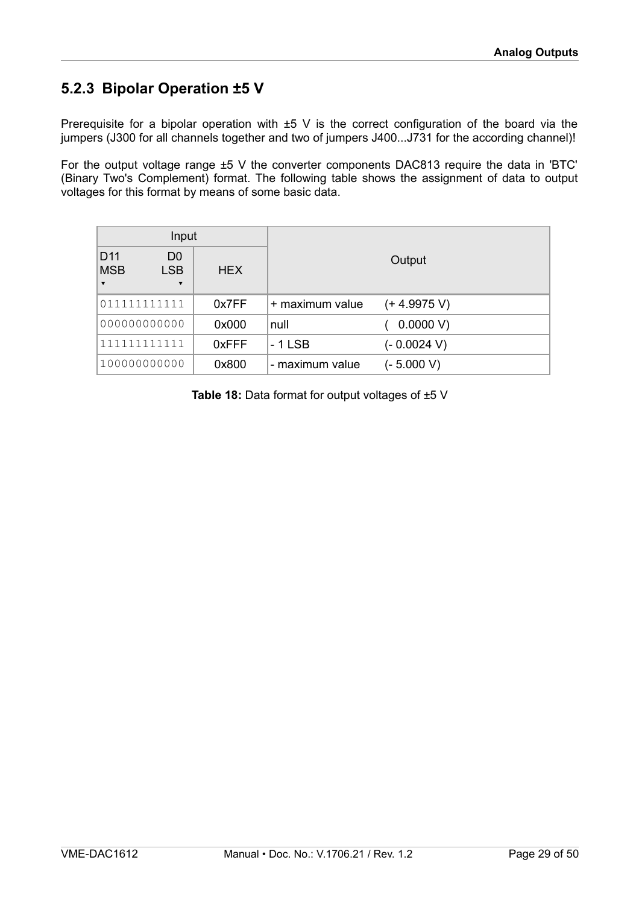# <span id="page-28-0"></span>**5.2.3 Bipolar Operation ±5 V**

Prerequisite for a bipolar operation with  $\pm 5$  V is the correct configuration of the board via the jumpers (J300 for all channels together and two of jumpers J400...J731 for the according channel)!

For the output voltage range ±5 V the converter components DAC813 require the data in 'BTC' (Binary Two's Complement) format. The following table shows the assignment of data to output voltages for this format by means of some basic data.

| Input                                                    |                                                         |       |                 |                |
|----------------------------------------------------------|---------------------------------------------------------|-------|-----------------|----------------|
| D <sub>11</sub><br><b>MSB</b><br>$\overline{\textbf{v}}$ | D <sub>0</sub><br><b>LSB</b><br>$\overline{\mathbf{v}}$ | HEX.  | Output          |                |
| 011111111111                                             |                                                         | 0x7FF | + maximum value | $(+ 4.9975 V)$ |
| 000000000000                                             |                                                         | 0x000 | null            | 0.0000 V       |
| 111111111111                                             |                                                         | 0xFFF | - 1 LSB         | $(-0.0024 V)$  |
| 100000000000                                             |                                                         | 0x800 | - maximum value | (- 5.000 V)    |

**Table 18:** Data format for output voltages of ±5 V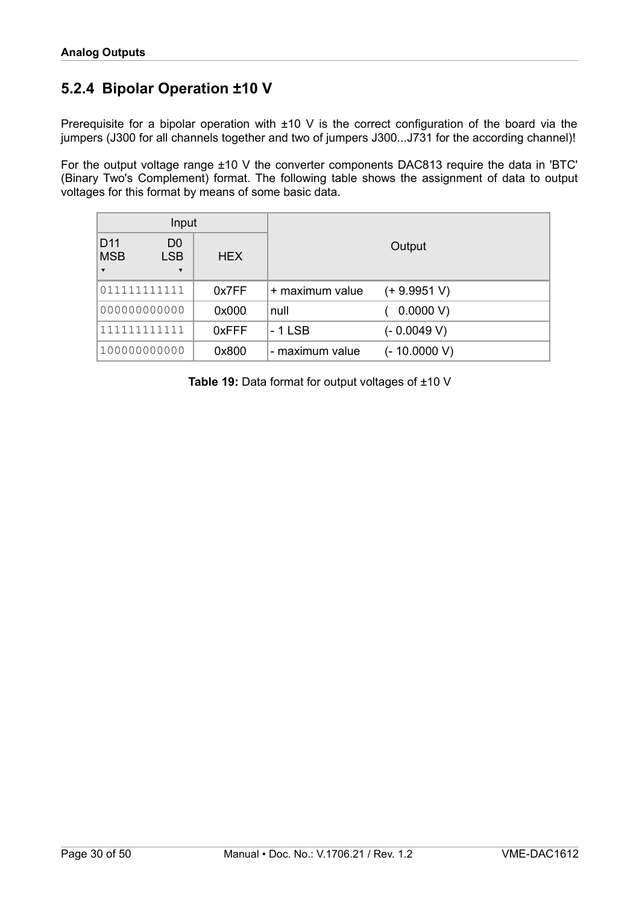### <span id="page-29-0"></span>**5.2.4 Bipolar Operation ±10 V**

Prerequisite for a bipolar operation with ±10 V is the correct configuration of the board via the jumpers (J300 for all channels together and two of jumpers J300...J731 for the according channel)!

For the output voltage range ±10 V the converter components DAC813 require the data in 'BTC' (Binary Two's Complement) format. The following table shows the assignment of data to output voltages for this format by means of some basic data.

| Input                                                                                                            |            |                 |                |  |
|------------------------------------------------------------------------------------------------------------------|------------|-----------------|----------------|--|
| D <sub>11</sub><br>D <sub>0</sub><br><b>MSB</b><br><b>LSB</b><br>$\blacktriangledown$<br>$\overline{\mathbf{v}}$ | <b>HEX</b> | Output          |                |  |
| 011111111111                                                                                                     | 0x7FF      | + maximum value | $(+ 9.9951 V)$ |  |
| 000000000000                                                                                                     | 0x000      | null            | 0.0000 V       |  |
| 111111111111                                                                                                     | 0xFFF      | - 1 LSB         | (- 0.0049 V)   |  |
| 100000000000                                                                                                     | 0x800      | - maximum value | $(-10.0000 V)$ |  |

**Table 19:** Data format for output voltages of ±10 V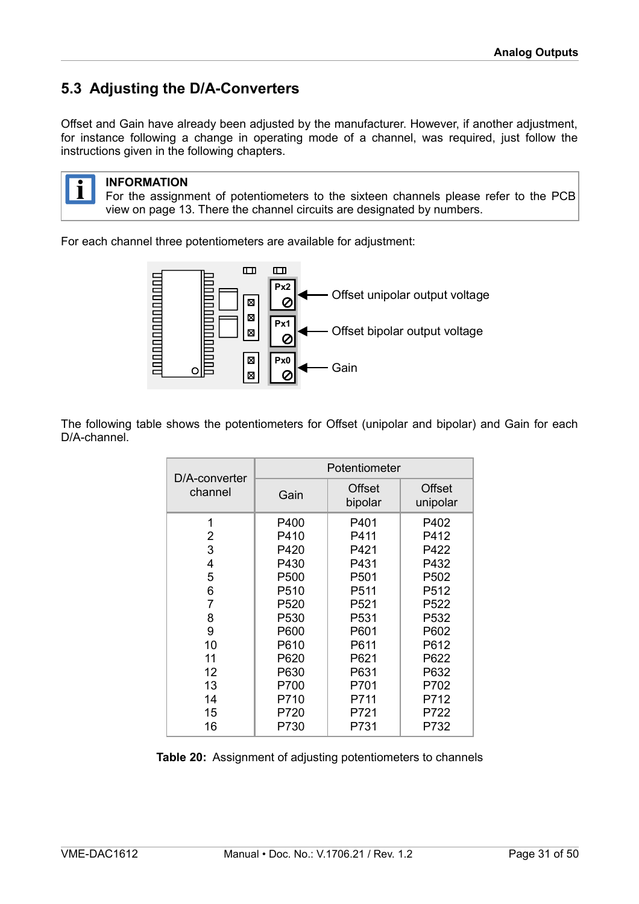# <span id="page-30-0"></span>**5.3 Adjusting the D/A-Converters**

Offset and Gain have already been adjusted by the manufacturer. However, if another adjustment, for instance following a change in operating mode of a channel, was required, just follow the instructions given in the following chapters.



#### **INFORMATION**

For the assignment of potentiometers to the sixteen channels please refer to the PCB view on page [13.](#page-12-0) There the channel circuits are designated by numbers.

For each channel three potentiometers are available for adjustment:



The following table shows the potentiometers for Offset (unipolar and bipolar) and Gain for each D/A-channel.

|                          | Potentiometer |                   |                           |  |
|--------------------------|---------------|-------------------|---------------------------|--|
| D/A-converter<br>channel | Gain          | Offset<br>bipolar | <b>Offset</b><br>unipolar |  |
| 1                        | P400          | P401              | P402                      |  |
| 2                        | P410          | P411              | P412                      |  |
| 3                        | P420          | P421              | P422                      |  |
| 4                        | P430          | P431              | P432                      |  |
| 5                        | P500          | P501              | P502                      |  |
| 6                        | P510          | P511              | P512                      |  |
| 7                        | P520          | P521              | P522                      |  |
| 8                        | P530          | P531              | P532                      |  |
| 9                        | P600          | P601              | P602                      |  |
| 10                       | P610          | P611              | P612                      |  |
| 11                       | P620          | P621              | P622                      |  |
| 12                       | P630          | P631              | P632                      |  |
| 13                       | P700          | P701              | P702                      |  |
| 14                       | P710          | P711              | P712                      |  |
| 15                       | P720          | P721              | P722                      |  |
| 16                       | P730          | P731              | P732                      |  |

<span id="page-30-1"></span>**Table 20:** Assignment of adjusting potentiometers to channels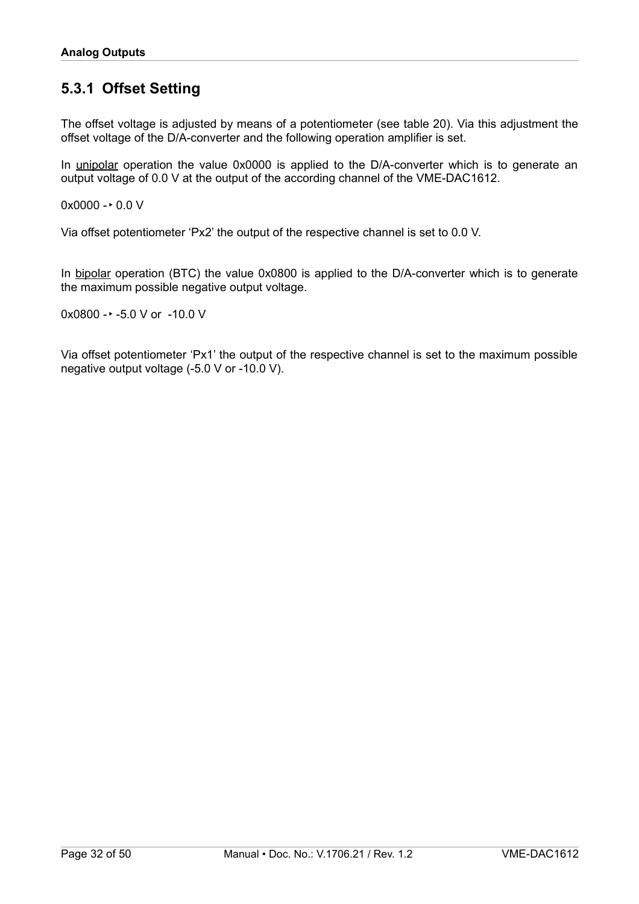# <span id="page-31-0"></span>**5.3.1 Offset Setting**

The offset voltage is adjusted by means of a potentiometer (see table [20\)](#page-30-1). Via this adjustment the offset voltage of the D/A-converter and the following operation amplifier is set.

In unipolar operation the value 0x0000 is applied to the D/A-converter which is to generate an output voltage of 0.0 V at the output of the according channel of the VME-DAC1612.

 $0x0000 - 0.0 V$ 

Via offset potentiometer 'Px2' the output of the respective channel is set to 0.0 V.

In bipolar operation (BTC) the value 0x0800 is applied to the D/A-converter which is to generate the maximum possible negative output voltage.

 $0x0800 - 5.0 V$  or  $-10.0 V$ 

Via offset potentiometer 'Px1' the output of the respective channel is set to the maximum possible negative output voltage (-5.0 V or -10.0 V).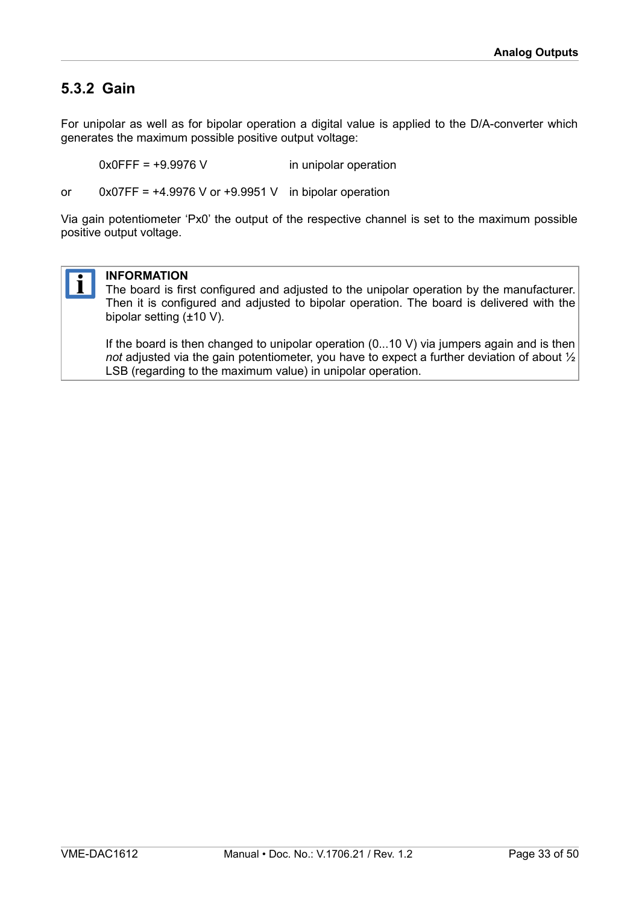### <span id="page-32-0"></span>**5.3.2 Gain**

For unipolar as well as for bipolar operation a digital value is applied to the D/A-converter which generates the maximum possible positive output voltage:

0x0FFF = +9.9976 V in unipolar operation

or  $0x07FF = +4.9976$  V or  $+9.9951$  V in bipolar operation

Via gain potentiometer 'Px0' the output of the respective channel is set to the maximum possible positive output voltage.



#### **INFORMATION**

The board is first configured and adjusted to the unipolar operation by the manufacturer. Then it is configured and adjusted to bipolar operation. The board is delivered with the bipolar setting (±10 V).

If the board is then changed to unipolar operation (0...10 V) via jumpers again and is then *not* adjusted via the gain potentiometer, you have to expect a further deviation of about ½ LSB (regarding to the maximum value) in unipolar operation.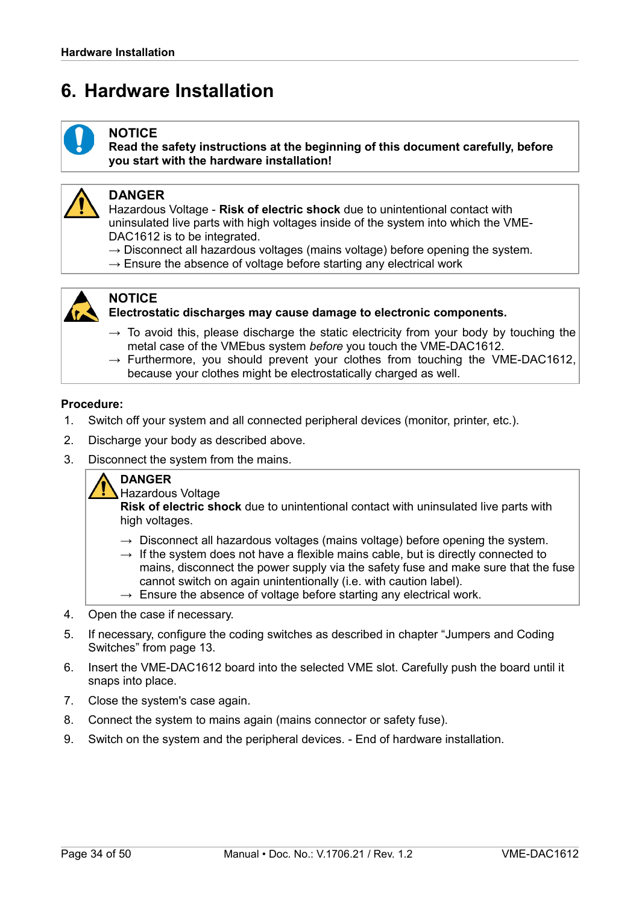# <span id="page-33-0"></span>**6. Hardware Installation**



#### **NOTICE**

**Read the safety instructions at the beginning of this document carefully, before you start with the hardware installation!**



#### **DANGER**

Hazardous Voltage - **Risk of electric shock** due to unintentional contact with uninsulated live parts with high voltages inside of the system into which the VME-DAC1612 is to be integrated.

- $\rightarrow$  Disconnect all hazardous voltages (mains voltage) before opening the system.
- $\rightarrow$  Ensure the absence of voltage before starting any electrical work



#### **NOTICE**

**Electrostatic discharges may cause damage to electronic components.** 

- $\rightarrow$  To avoid this, please discharge the static electricity from your body by touching the metal case of the VMEbus system *before* you touch the VME-DAC1612.
- $\rightarrow$  Furthermore, you should prevent your clothes from touching the VME-DAC1612, because your clothes might be electrostatically charged as well.

#### **Procedure:**

- 1. Switch off your system and all connected peripheral devices (monitor, printer, etc.).
- 2. Discharge your body as described above.
- 3. Disconnect the system from the mains.

#### **DANGER**

Hazardous Voltage

**Risk of electric shock** due to unintentional contact with uninsulated live parts with high voltages.

- $\rightarrow$  Disconnect all hazardous voltages (mains voltage) before opening the system.
- $\rightarrow$  If the system does not have a flexible mains cable, but is directly connected to mains, disconnect the power supply via the safety fuse and make sure that the fuse cannot switch on again unintentionally (i.e. with caution label).
- $\rightarrow$  Ensure the absence of voltage before starting any electrical work.
- 4. Open the case if necessary.
- 5. If necessary, configure the coding switches as described in chapter ["Jumpers and Coding](#page-12-1)  [Switches"](#page-12-1) from page [13.](#page-12-1)
- 6. Insert the VME-DAC1612 board into the selected VME slot. Carefully push the board until it snaps into place.
- 7. Close the system's case again.
- 8. Connect the system to mains again (mains connector or safety fuse).
- 9. Switch on the system and the peripheral devices. End of hardware installation.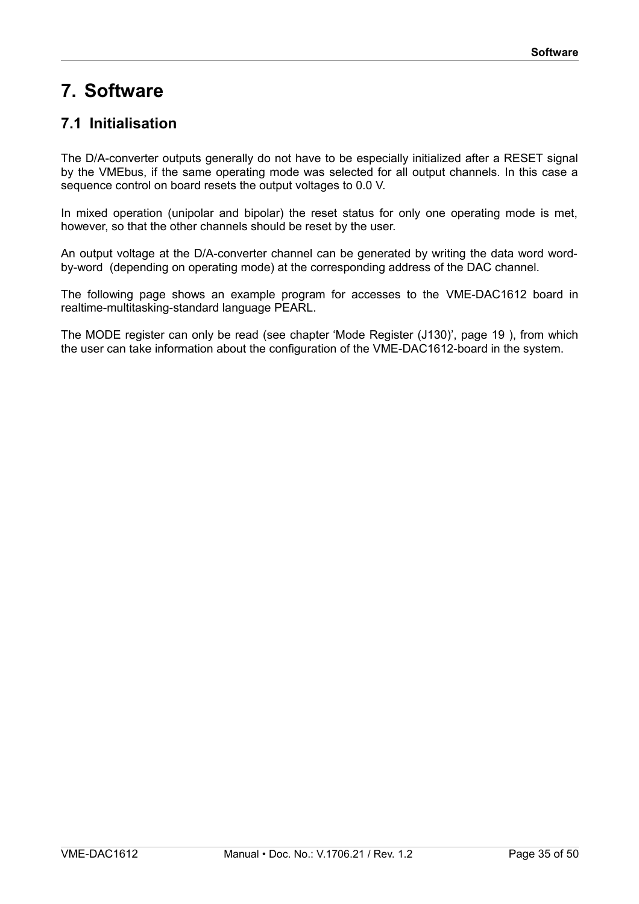# <span id="page-34-1"></span>**7. Software**

# <span id="page-34-0"></span>**7.1 Initialisation**

The D/A-converter outputs generally do not have to be especially initialized after a RESET signal by the VMEbus, if the same operating mode was selected for all output channels. In this case a sequence control on board resets the output voltages to 0.0 V.

In mixed operation (unipolar and bipolar) the reset status for only one operating mode is met, however, so that the other channels should be reset by the user.

An output voltage at the D/A-converter channel can be generated by writing the data word wordby-word (depending on operating mode) at the corresponding address of the DAC channel.

The following page shows an example program for accesses to the VME-DAC1612 board in realtime-multitasking-standard language PEARL.

The MODE register can only be read (see chapter ['Mode Register \(J130\)'](#page-18-0), page [19](#page-18-0) ), from which the user can take information about the configuration of the VME-DAC1612-board in the system.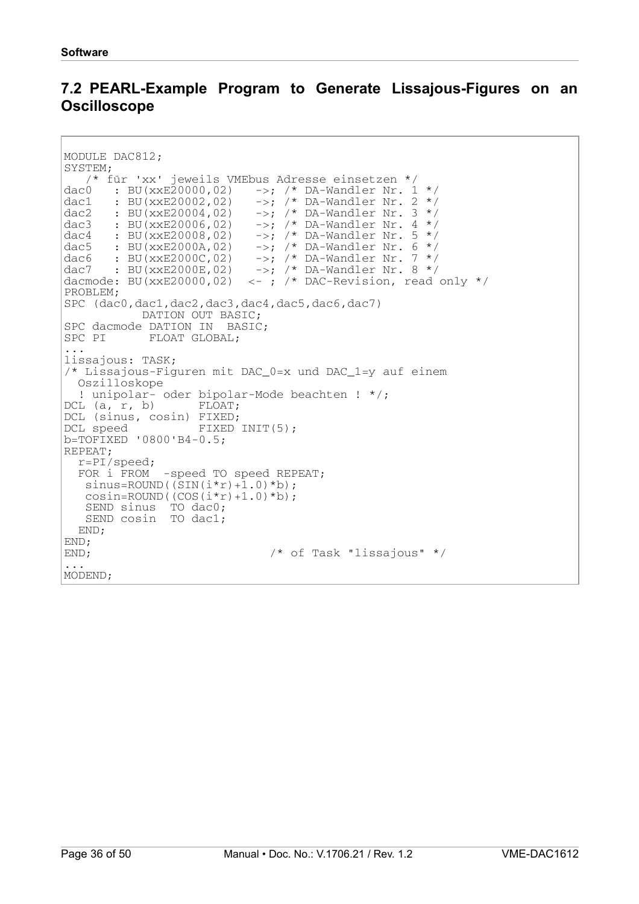### <span id="page-35-0"></span>**7.2 PEARL-Example Program to Generate Lissajous-Figures on an Oscilloscope**

```
MODULE DAC812;
SYSTEM;
  /* für 'xx' jeweils VMEbus Adresse einsetzen */
dac0 : BU(xxE20000,02) ->; /* DA-Wandler Nr. 1 */
dac1 : BU(xxE20002,02) ->; /* DA-Wandler Nr. 2 */
dac2 : BU(xxE20004,02) ->; /* DA-Wandler Nr. 3 */
dac3 : BU(xxE20006,02) ->; /* DA-Wandler Nr. 4 */
dac4 : BU(xxE20008,02) ->; /* DA-Wandler Nr. 5 */
dac5 : BU(xxE2000A,02) ->; /* DA-Wandler Nr. 6 * /dac6 : BU(xxE2000C,02) ->; /* DA-Wandler Nr. 7 */
dac7 : BU(xxE2000E,02) \rightarrow; /* DA-Wandler Nr. 8 */
dacmode: BU(xxE20000,02) <- ; /* DAC-Revision, read only */
PROBLEM;
SPC (dac0,dac1,dac2,dac3,dac4,dac5,dac6,dac7)
           DATION OUT BASIC;
SPC dacmode DATION IN BASIC;
SPC PI FLOAT GLOBAL;
...
lissajous: TASK;
/* Lissajous-Figuren mit DAC_0=x und DAC_1=y auf einem
  Oszilloskope
  ! unipolar- oder bipolar-Mode beachten ! */;
DCL (a, r, b) FLOAT;
DCL (sinus, cosin) FIXED;
DCL speed FIXED INIT(5);
b=TOFIXED 10800'B4-0.5;REPEAT;
  r=PI/speed;
 FOR i FROM -speed TO speed REPEAT;
  sinus=ROUND((SIN(i*r)+1.0)*b);cosin=ROUND((COS(i*r)+1.0)*b); SEND sinus TO dac0;
   SEND cosin TO dac1;
  END;
END;
END; /* of Task "lissajous" */
...
MODEND;
```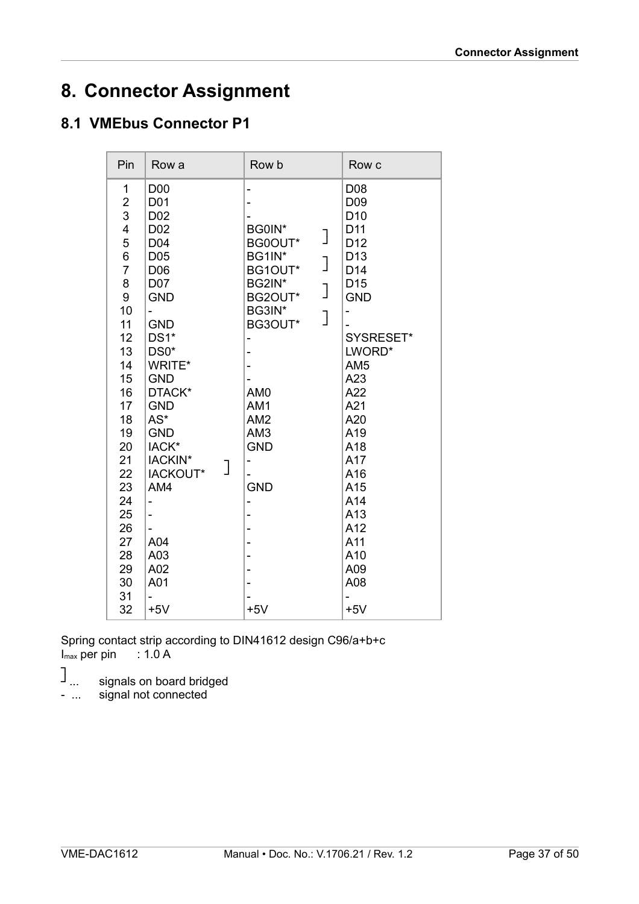# <span id="page-36-1"></span>**8. Connector Assignment**

# <span id="page-36-0"></span>**8.1 VMEbus Connector P1**

| Pin                                                                                                                                                                                | Row a                                                                                                                                                                                                                                                                                                                                                                                 | Row b                                                                                                                                                                                                                                           | Row c                                                                                                                                                                                                                                                                         |
|------------------------------------------------------------------------------------------------------------------------------------------------------------------------------------|---------------------------------------------------------------------------------------------------------------------------------------------------------------------------------------------------------------------------------------------------------------------------------------------------------------------------------------------------------------------------------------|-------------------------------------------------------------------------------------------------------------------------------------------------------------------------------------------------------------------------------------------------|-------------------------------------------------------------------------------------------------------------------------------------------------------------------------------------------------------------------------------------------------------------------------------|
| 1<br>$\overline{\mathbf{c}}$<br>3<br>4<br>5<br>6<br>$\overline{7}$<br>8<br>9<br>10<br>11<br>12<br>13<br>14<br>15<br>16<br>17<br>18<br>19<br>20<br>21<br>22<br>23<br>24<br>25<br>26 | D <sub>0</sub> 0<br>D <sub>0</sub> 1<br>D <sub>02</sub><br>D <sub>02</sub><br>D04<br>D05<br>D06<br>D07<br><b>GND</b><br>$\overline{\phantom{0}}$<br><b>GND</b><br>DS1*<br>DS0*<br>WRITE*<br><b>GND</b><br>DTACK*<br><b>GND</b><br>$AS^*$<br><b>GND</b><br>IACK*<br>IACKIN*<br>IACKOUT*<br>AM4<br>$\overline{\phantom{0}}$<br>$\overline{\phantom{0}}$<br>$\qquad \qquad \blacksquare$ | BG0IN*<br>]<br>BG0OUT*<br>BG1IN*<br>$\overline{\mathsf{I}}$<br>BG1OUT*<br>BG2IN*<br>$\overline{\mathsf{I}}$<br>BG2OUT*<br>BG3IN*<br>]<br>BG3OUT*<br>AM <sub>0</sub><br>AM1<br>AM <sub>2</sub><br>AM3<br><b>GND</b><br>-<br><b>GND</b><br>-<br>- | D08<br>D <sub>09</sub><br>D <sub>10</sub><br>D11<br>D <sub>12</sub><br>D <sub>13</sub><br>D <sub>14</sub><br>D <sub>15</sub><br><b>GND</b><br>-<br>SYSRESET*<br>LWORD*<br>AM <sub>5</sub><br>A23<br>A22<br>A21<br>A20<br>A19<br>A18<br>A17<br>A16<br>A15<br>A14<br>A13<br>A12 |
|                                                                                                                                                                                    |                                                                                                                                                                                                                                                                                                                                                                                       |                                                                                                                                                                                                                                                 |                                                                                                                                                                                                                                                                               |
| 27<br>28                                                                                                                                                                           | A04<br>A03                                                                                                                                                                                                                                                                                                                                                                            |                                                                                                                                                                                                                                                 | A11<br>A10                                                                                                                                                                                                                                                                    |
| 29<br>30                                                                                                                                                                           | A02<br>A01                                                                                                                                                                                                                                                                                                                                                                            |                                                                                                                                                                                                                                                 | A09<br>A08                                                                                                                                                                                                                                                                    |
| 31<br>32                                                                                                                                                                           | $+5V$                                                                                                                                                                                                                                                                                                                                                                                 | $+5V$                                                                                                                                                                                                                                           | $+5V$                                                                                                                                                                                                                                                                         |

Spring contact strip according to DIN41612 design C96/a+b+c  $I_{\text{max}}$  per pin  $\;\;$  : 1.0 A

- ┐ ┘... signals on board bridged
- ... signal not connected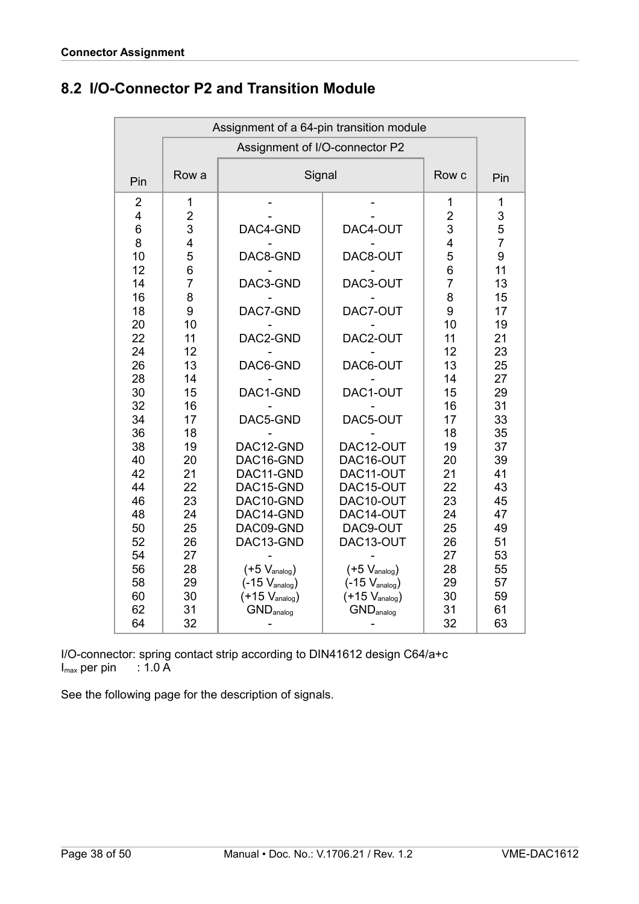| Assignment of a 64-pin transition module                                                                                                                                                              |                                                                                                                                                                                                               |                                                                                                                                                                                                                                                                                                |                                                                                                                                                                                                                                                                                                             |                                                                                                                                                                                                                            |                                                                                                                                                                                                      |  |
|-------------------------------------------------------------------------------------------------------------------------------------------------------------------------------------------------------|---------------------------------------------------------------------------------------------------------------------------------------------------------------------------------------------------------------|------------------------------------------------------------------------------------------------------------------------------------------------------------------------------------------------------------------------------------------------------------------------------------------------|-------------------------------------------------------------------------------------------------------------------------------------------------------------------------------------------------------------------------------------------------------------------------------------------------------------|----------------------------------------------------------------------------------------------------------------------------------------------------------------------------------------------------------------------------|------------------------------------------------------------------------------------------------------------------------------------------------------------------------------------------------------|--|
|                                                                                                                                                                                                       |                                                                                                                                                                                                               | Assignment of I/O-connector P2                                                                                                                                                                                                                                                                 |                                                                                                                                                                                                                                                                                                             |                                                                                                                                                                                                                            |                                                                                                                                                                                                      |  |
| Pin                                                                                                                                                                                                   | Row a                                                                                                                                                                                                         | Signal                                                                                                                                                                                                                                                                                         |                                                                                                                                                                                                                                                                                                             | Row c                                                                                                                                                                                                                      | Pin                                                                                                                                                                                                  |  |
| $\overline{2}$<br>4<br>6<br>8<br>10<br>12<br>14<br>16<br>18<br>20<br>22<br>24<br>26<br>28<br>30<br>32<br>34<br>36<br>38<br>40<br>42<br>44<br>46<br>48<br>50<br>52<br>54<br>56<br>58<br>60<br>62<br>64 | 1<br>$\overline{c}$<br>3<br>4<br>5<br>6<br>$\overline{7}$<br>8<br>9<br>10<br>11<br>12<br>13<br>14<br>15<br>16<br>17<br>18<br>19<br>20<br>21<br>22<br>23<br>24<br>25<br>26<br>27<br>28<br>29<br>30<br>31<br>32 | DAC4-GND<br>DAC8-GND<br>DAC3-GND<br>DAC7-GND<br>DAC2-GND<br>DAC6-GND<br>DAC1-GND<br>DAC5-GND<br>DAC12-GND<br>DAC16-GND<br>DAC11-GND<br>DAC15-GND<br>DAC10-GND<br>DAC14-GND<br>DAC09-GND<br>DAC13-GND<br>$(+5 V_{analog})$<br>$(-15 V_{analog})$<br>$(+15 V_{analog})$<br>GND <sub>analog</sub> | DAC4-OUT<br>DAC8-OUT<br>DAC3-OUT<br>DAC7-OUT<br>DAC2-OUT<br>DAC6-OUT<br>DAC1-OUT<br>DAC5-OUT<br>DAC12-OUT<br>DAC16-OUT<br>DAC11-OUT<br>DAC15-OUT<br>DAC10-OUT<br>DAC14-OUT<br>DAC9-OUT<br>DAC13-OUT<br>$(+5 V_{\text{analog}})$<br>$(-15 V_{\text{analog}})$<br>$(+15 V_{analog})$<br>GND <sub>analog</sub> | 1<br>$\overline{c}$<br>3<br>$\overline{4}$<br>5<br>6<br>$\overline{7}$<br>8<br>9<br>10<br>11<br>12<br>13<br>14<br>15<br>16<br>17<br>18<br>19<br>20<br>21<br>22<br>23<br>24<br>25<br>26<br>27<br>28<br>29<br>30<br>31<br>32 | 1<br>3<br>5<br>$\overline{7}$<br>9<br>11<br>13<br>15<br>17<br>19<br>21<br>23<br>25<br>27<br>29<br>31<br>33<br>35<br>37<br>39<br>41<br>43<br>45<br>47<br>49<br>51<br>53<br>55<br>57<br>59<br>61<br>63 |  |

# <span id="page-37-0"></span>**8.2 I/O-Connector P2 and Transition Module**

I/O-connector: spring contact strip according to DIN41612 design C64/a+c  $I_{\text{max}}$  per pin : 1.0 A

See the following page for the description of signals.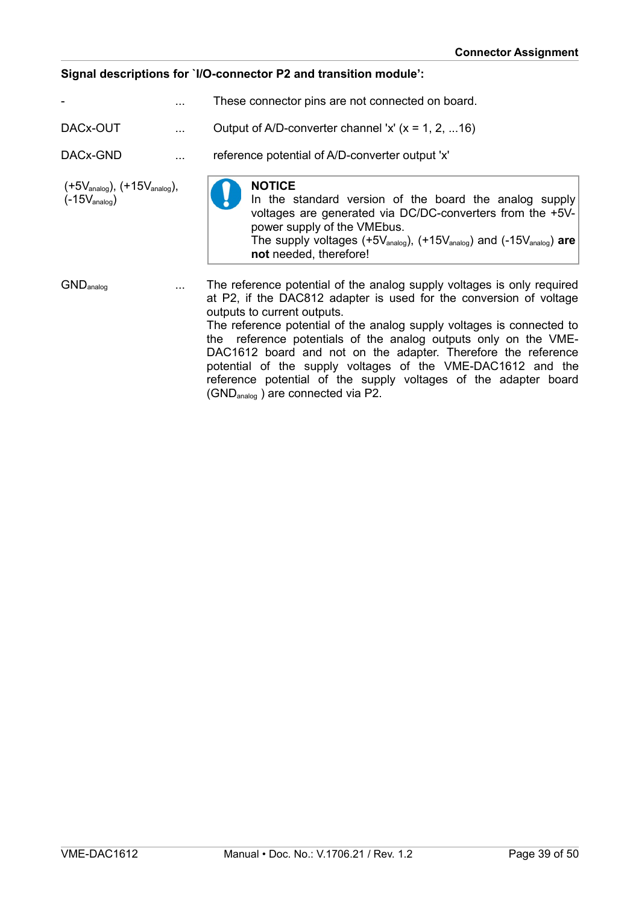#### **Signal descriptions for `I/O-connector P2 and transition module':**

|                                                                                  | These connector pins are not connected on board.                                                                                                                                                                                                                                                                                                                                                                                                                                                                           |
|----------------------------------------------------------------------------------|----------------------------------------------------------------------------------------------------------------------------------------------------------------------------------------------------------------------------------------------------------------------------------------------------------------------------------------------------------------------------------------------------------------------------------------------------------------------------------------------------------------------------|
| DACx-OUT                                                                         | Output of A/D-converter channel 'x' $(x = 1, 2,  16)$                                                                                                                                                                                                                                                                                                                                                                                                                                                                      |
| DACx-GND                                                                         | reference potential of A/D-converter output 'x'                                                                                                                                                                                                                                                                                                                                                                                                                                                                            |
| $(+5V_{\text{analog}})$ , $(+15V_{\text{analog}})$ ,<br>$(-15V_{\text{analog}})$ | <b>NOTICE</b><br>In the standard version of the board the analog supply<br>voltages are generated via DC/DC-converters from the +5V-<br>power supply of the VMEbus.<br>The supply voltages (+5 $V_{\text{analog}}$ ), (+15 $V_{\text{analog}}$ ) and (-15 $V_{\text{analog}}$ ) are<br>not needed, therefore!                                                                                                                                                                                                              |
| <b>GND</b> <sub>analog</sub>                                                     | The reference potential of the analog supply voltages is only required<br>at P2, if the DAC812 adapter is used for the conversion of voltage<br>outputs to current outputs.<br>The reference potential of the analog supply voltages is connected to<br>the reference potentials of the analog outputs only on the VME-<br>DAC1612 board and not on the adapter. Therefore the reference<br>potential of the supply voltages of the VME-DAC1612 and the<br>reference potential of the supply voltages of the adapter board |

(GNDanalog ) are connected via P2.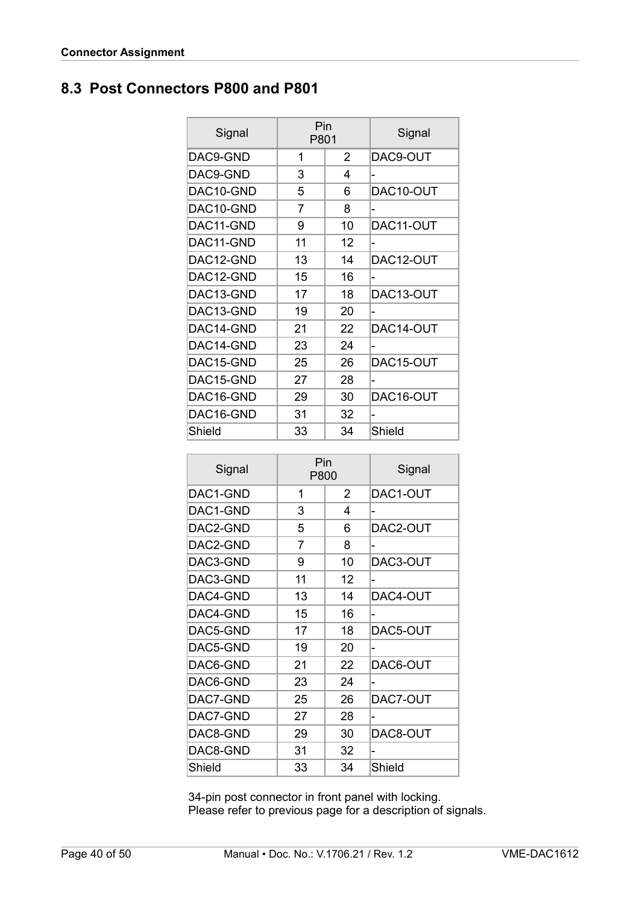# <span id="page-39-0"></span>**8.3 Post Connectors P800 and P801**

| Signal    | Pin<br>P801 |    | Signal    |
|-----------|-------------|----|-----------|
| DAC9-GND  | 1           | 2  | DAC9-OUT  |
| DAC9-GND  | 3           | 4  |           |
| DAC10-GND | 5           | 6  | DAC10-OUT |
| DAC10-GND | 7           | 8  |           |
| DAC11-GND | 9           | 10 | DAC11-OUT |
| DAC11-GND | 11          | 12 |           |
| DAC12-GND | 13          | 14 | DAC12-OUT |
| DAC12-GND | 15          | 16 |           |
| DAC13-GND | 17          | 18 | DAC13-OUT |
| DAC13-GND | 19          | 20 |           |
| DAC14-GND | 21          | 22 | DAC14-OUT |
| DAC14-GND | 23          | 24 |           |
| DAC15-GND | 25          | 26 | DAC15-OUT |
| DAC15-GND | 27          | 28 |           |
| DAC16-GND | 29          | 30 | DAC16-OUT |
| DAC16-GND | 31          | 32 |           |
| Shield    | 33          | 34 | Shield    |

| Signal   | Pin<br>P800 |    | Signal   |
|----------|-------------|----|----------|
| DAC1-GND | 1           | 2  | DAC1-OUT |
| DAC1-GND | 3           | 4  | -        |
| DAC2-GND | 5           | 6  | DAC2-OUT |
| DAC2-GND | 7           | 8  | -        |
| DAC3-GND | 9           | 10 | DAC3-OUT |
| DAC3-GND | 11          | 12 | -        |
| DAC4-GND | 13          | 14 | DAC4-OUT |
| DAC4-GND | 15          | 16 |          |
| DAC5-GND | 17          | 18 | DAC5-OUT |
| DAC5-GND | 19          | 20 |          |
| DAC6-GND | 21          | 22 | DAC6-OUT |
| DAC6-GND | 23          | 24 |          |
| DAC7-GND | 25          | 26 | DAC7-OUT |
| DAC7-GND | 27          | 28 |          |
| DAC8-GND | 29          | 30 | DAC8-OUT |
| DAC8-GND | 31          | 32 |          |
| Shield   | 33          | 34 | Shield   |

 34-pin post connector in front panel with locking. Please refer to previous page for a description of signals.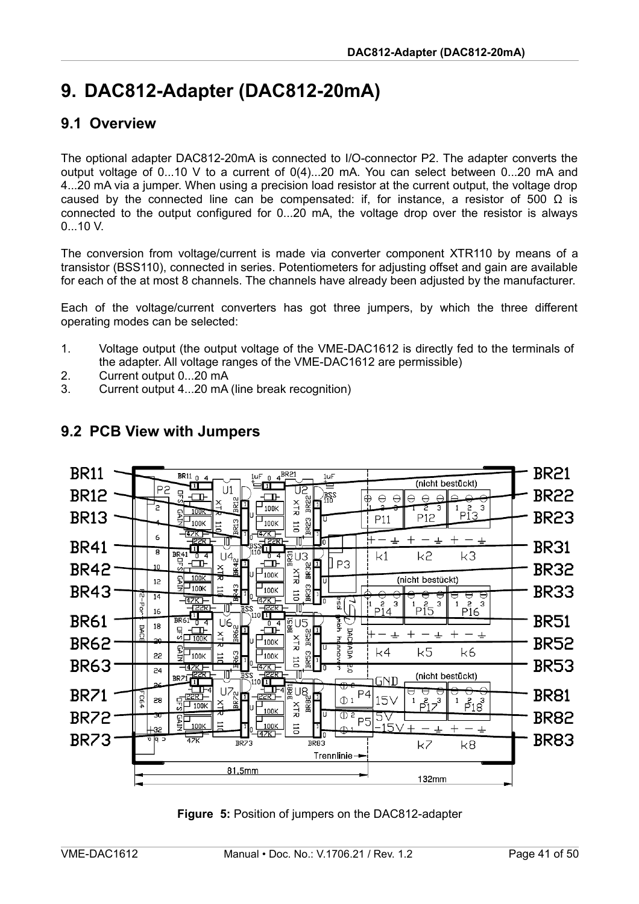# <span id="page-40-2"></span>**9. DAC812-Adapter (DAC812-20mA)**

### <span id="page-40-1"></span>**9.1 Overview**

The optional adapter DAC812-20mA is connected to I/O-connector P2. The adapter converts the output voltage of 0...10 V to a current of 0(4)...20 mA. You can select between 0...20 mA and 4...20 mA via a jumper. When using a precision load resistor at the current output, the voltage drop caused by the connected line can be compensated: if, for instance, a resistor of 500  $\Omega$  is connected to the output configured for 0...20 mA, the voltage drop over the resistor is always 0...10 V.

The conversion from voltage/current is made via converter component XTR110 by means of a transistor (BSS110), connected in series. Potentiometers for adjusting offset and gain are available for each of the at most 8 channels. The channels have already been adjusted by the manufacturer.

Each of the voltage/current converters has got three jumpers, by which the three different operating modes can be selected:

- 1. Voltage output (the output voltage of the VME-DAC1612 is directly fed to the terminals of the adapter. All voltage ranges of the VME-DAC1612 are permissible)
- 2. Current output 0...20 mA
- 3. Current output 4...20 mA (line break recognition)



# <span id="page-40-0"></span>**9.2 PCB View with Jumpers**

<span id="page-40-3"></span>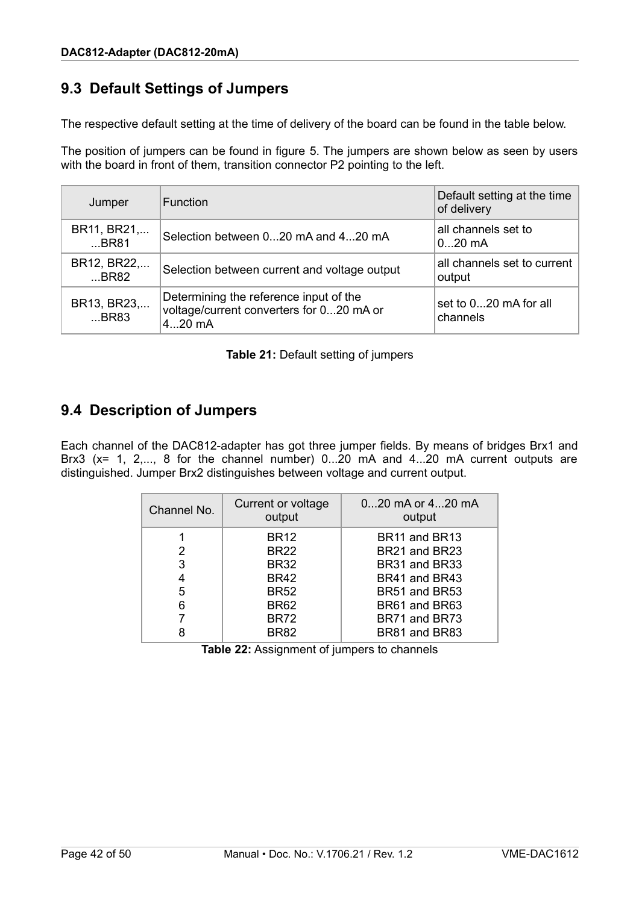# <span id="page-41-1"></span>**9.3 Default Settings of Jumpers**

The respective default setting at the time of delivery of the board can be found in the table below.

The position of jumpers can be found in figure [5.](#page-40-3) The jumpers are shown below as seen by users with the board in front of them, transition connector P2 pointing to the left.

| Jumper              | <b>Function</b>                                                                                | Default setting at the time<br>of delivery |
|---------------------|------------------------------------------------------------------------------------------------|--------------------------------------------|
| BR11, BR21,<br>BR81 | Selection between 020 mA and 420 mA                                                            | all channels set to<br>$020$ mA            |
| BR12, BR22,<br>BR82 | Selection between current and voltage output                                                   | all channels set to current<br>output      |
| BR13, BR23,<br>BR83 | Determining the reference input of the<br>voltage/current converters for 020 mA or<br>$420$ mA | set to 020 mA for all<br>channels          |

### <span id="page-41-0"></span>**9.4 Description of Jumpers**

Each channel of the DAC812-adapter has got three jumper fields. By means of bridges Brx1 and Brx3 (x= 1, 2,..., 8 for the channel number) 0...20 mA and 4...20 mA current outputs are distinguished. Jumper Brx2 distinguishes between voltage and current output.

| Channel No. | Current or voltage<br>output | 020 mA or 420 mA<br>output |
|-------------|------------------------------|----------------------------|
|             | <b>BR12</b>                  | BR11 and BR13              |
| 2           | <b>BR22</b>                  | BR21 and BR23              |
| 3           | <b>BR32</b>                  | BR31 and BR33              |
| 4           | <b>BR42</b>                  | BR41 and BR43              |
| 5           | <b>BR52</b>                  | BR51 and BR53              |
| 6           | <b>BR62</b>                  | BR61 and BR63              |
| 7           | <b>BR72</b>                  | BR71 and BR73              |
| 8           | <b>BR82</b>                  | BR81 and BR83              |

**Table 22:** Assignment of jumpers to channels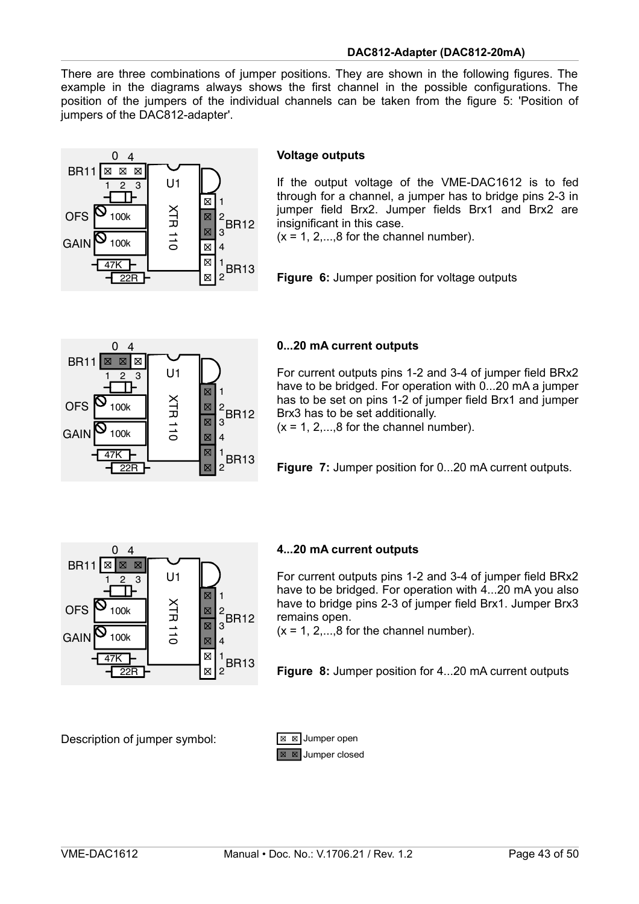There are three combinations of jumper positions. They are shown in the following figures. The example in the diagrams always shows the first channel in the possible configurations. The position of the jumpers of the individual channels can be taken from the figure [5:](#page-40-3) 'Position of jumpers of the DAC812-adapter'.



#### **Voltage outputs**

If the output voltage of the VME-DAC1612 is to fed through for a channel, a jumper has to bridge pins 2-3 in jumper field Brx2. Jumper fields Brx1 and Brx2 are insignificant in this case.

 $(x = 1, 2, \ldots, 8$  for the channel number).

**Figure 6:** Jumper position for voltage outputs



#### **0...20 mA current outputs**

For current outputs pins 1-2 and 3-4 of jumper field BRx2 have to be bridged. For operation with 0...20 mA a jumper has to be set on pins 1-2 of jumper field Brx1 and jumper Brx3 has to be set additionally.

 $(x = 1, 2, \ldots, 8$  for the channel number).

**Figure 7:** Jumper position for 0...20 mA current outputs.



#### **4...20 mA current outputs**

For current outputs pins 1-2 and 3-4 of jumper field BRx2 have to be bridged. For operation with 4...20 mA you also have to bridge pins 2-3 of jumper field Brx1. Jumper Brx3 remains open.

 $(x = 1, 2, \ldots, 8$  for the channel number).

**Figure 8:** Jumper position for 4...20 mA current outputs

Description of jumper symbol:

![](_page_42_Figure_18.jpeg)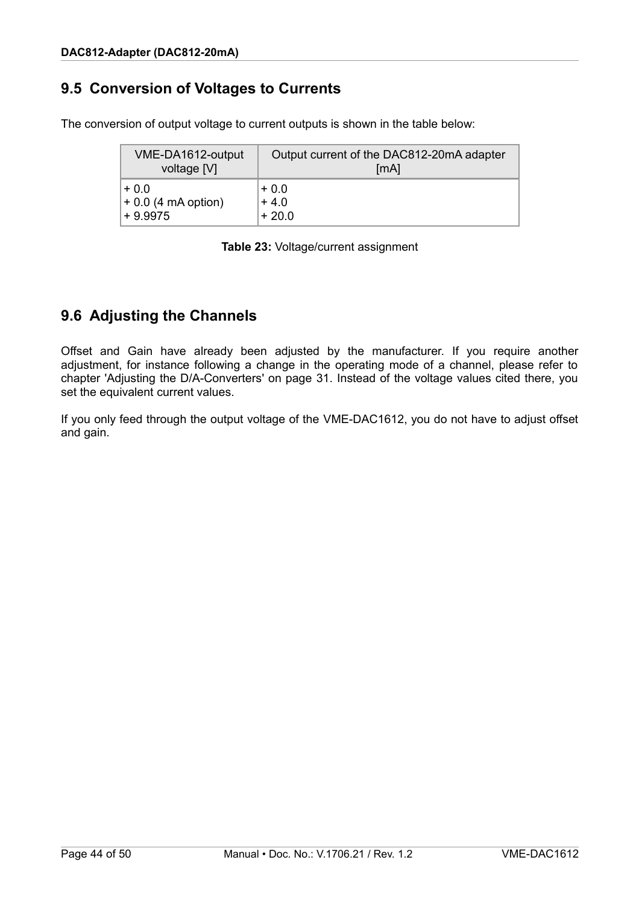### <span id="page-43-1"></span>**9.5 Conversion of Voltages to Currents**

The conversion of output voltage to current outputs is shown in the table below:

| VME-DA1612-output    | Output current of the DAC812-20mA adapter |
|----------------------|-------------------------------------------|
| voltage [V]          | [mA]                                      |
| $+0.0$               | $+0.0$                                    |
| $+0.0$ (4 mA option) | $+4.0$                                    |
| $+9.9975$            | $+20.0$                                   |

**Table 23:** Voltage/current assignment

# <span id="page-43-0"></span>**9.6 Adjusting the Channels**

Offset and Gain have already been adjusted by the manufacturer. If you require another adjustment, for instance following a change in the operating mode of a channel, please refer to chapter ['Adjusting the D/A-Converters'](#page-30-0) on page [31.](#page-30-0) Instead of the voltage values cited there, you set the equivalent current values.

If you only feed through the output voltage of the VME-DAC1612, you do not have to adjust offset and gain.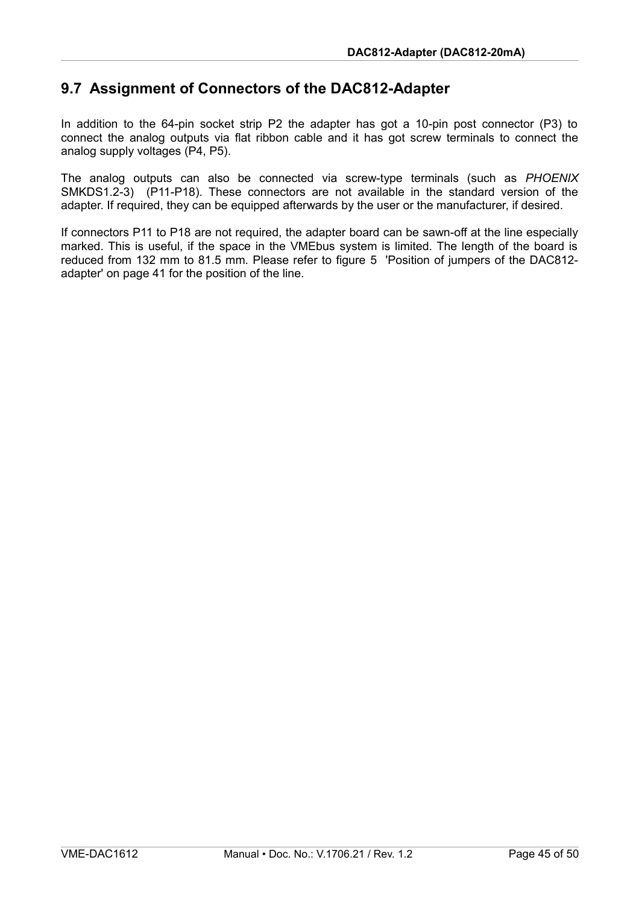### <span id="page-44-0"></span>**9.7 Assignment of Connectors of the DAC812-Adapter**

In addition to the 64-pin socket strip P2 the adapter has got a 10-pin post connector (P3) to connect the analog outputs via flat ribbon cable and it has got screw terminals to connect the analog supply voltages (P4, P5).

The analog outputs can also be connected via screw-type terminals (such as *PHOENIX* SMKDS1.2-3) (P11-P18). These connectors are not available in the standard version of the adapter. If required, they can be equipped afterwards by the user or the manufacturer, if desired.

If connectors P11 to P18 are not required, the adapter board can be sawn-off at the line especially marked. This is useful, if the space in the VMEbus system is limited. The length of the board is reduced from 132 mm to 81.5 mm. Please refer to figure [5](#page-40-3) 'Position of jumpers of the DAC812 adapter' on page [41](#page-40-3) for the position of the line.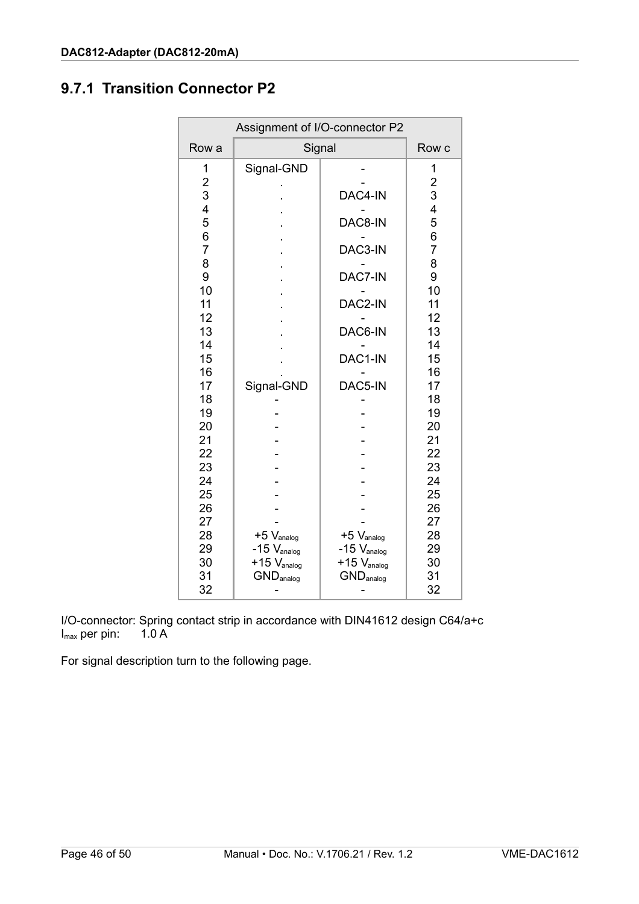# <span id="page-45-0"></span>**9.7.1 Transition Connector P2**

| Assignment of I/O-connector P2                                                                                                           |                                                |                                                                                      |                                                                                                                                          |
|------------------------------------------------------------------------------------------------------------------------------------------|------------------------------------------------|--------------------------------------------------------------------------------------|------------------------------------------------------------------------------------------------------------------------------------------|
| Row a                                                                                                                                    | Signal                                         |                                                                                      | Row c                                                                                                                                    |
| 1<br>$\overline{\mathbf{c}}$<br>3<br>4<br>5<br>6<br>$\overline{7}$<br>8<br>9<br>10<br>11<br>12<br>13<br>14<br>15<br>16<br>17<br>18<br>19 | Signal-GND<br>Signal-GND                       | DAC4-IN<br>DAC8-IN<br>DAC3-IN<br>DAC7-IN<br>DAC2-IN<br>DAC6-IN<br>DAC1-IN<br>DAC5-IN | 1<br>$\overline{\mathbf{c}}$<br>3<br>4<br>5<br>6<br>$\overline{7}$<br>8<br>9<br>10<br>11<br>12<br>13<br>14<br>15<br>16<br>17<br>18<br>19 |
| 20<br>21<br>22<br>23<br>24<br>25<br>26<br>27<br>28<br>29<br>30                                                                           | $+5$ $V_{\text{analog}}$<br>$-15$ $V_{analog}$ | $+5$ $V_{\text{analog}}$<br>$-15$ $V_{analog}$<br>$+15$ $V_{analog}$                 | 20<br>21<br>22<br>23<br>24<br>25<br>26<br>27<br>28<br>29<br>30                                                                           |
| 31<br>32                                                                                                                                 | $+15$ $V_{analog}$<br>$GND_{\text{analog}}$    | $GND_{\text{analog}}$                                                                | 31<br>32                                                                                                                                 |

I/O-connector: Spring contact strip in accordance with DIN41612 design C64/a+c  $I_{\text{max}}$  per pin: 1.0 A  $I_{\text{max}}$  per pin:

For signal description turn to the following page.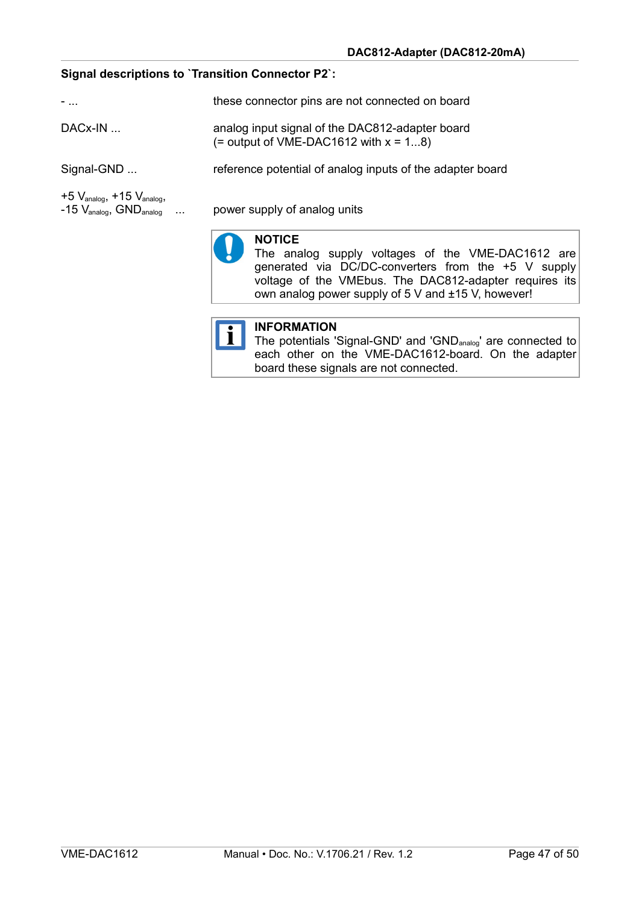#### **Signal descriptions to `Transition Connector P2`:**

| $-$                                                                                                       | these connector pins are not connected on board                                                                                                                                                                                           |  |  |
|-----------------------------------------------------------------------------------------------------------|-------------------------------------------------------------------------------------------------------------------------------------------------------------------------------------------------------------------------------------------|--|--|
| $DACx-IN$                                                                                                 | analog input signal of the DAC812-adapter board<br>$($ = output of VME-DAC1612 with $x = 18$ )                                                                                                                                            |  |  |
| Signal-GND                                                                                                | reference potential of analog inputs of the adapter board                                                                                                                                                                                 |  |  |
| $+5$ $V_{\text{analog}}$ , $+15$ $V_{\text{analog}}$<br>$-15$ $V_{\text{analog}}$ , $GND_{\text{analog}}$ | power supply of analog units                                                                                                                                                                                                              |  |  |
|                                                                                                           | <b>NOTICE</b><br>The analog supply voltages of the VME-DAC1612 are<br>generated via DC/DC-converters from the +5 V supply<br>voltage of the VMEbus. The DAC812-adapter requires its<br>own analog power supply of 5 V and ±15 V, however! |  |  |

#### **INFORMATION**  $|\mathbf{i}|$

The potentials 'Signal-GND' and 'GND<sub>analog</sub>' are connected to each other on the VME-DAC1612-board. On the adapter board these signals are not connected.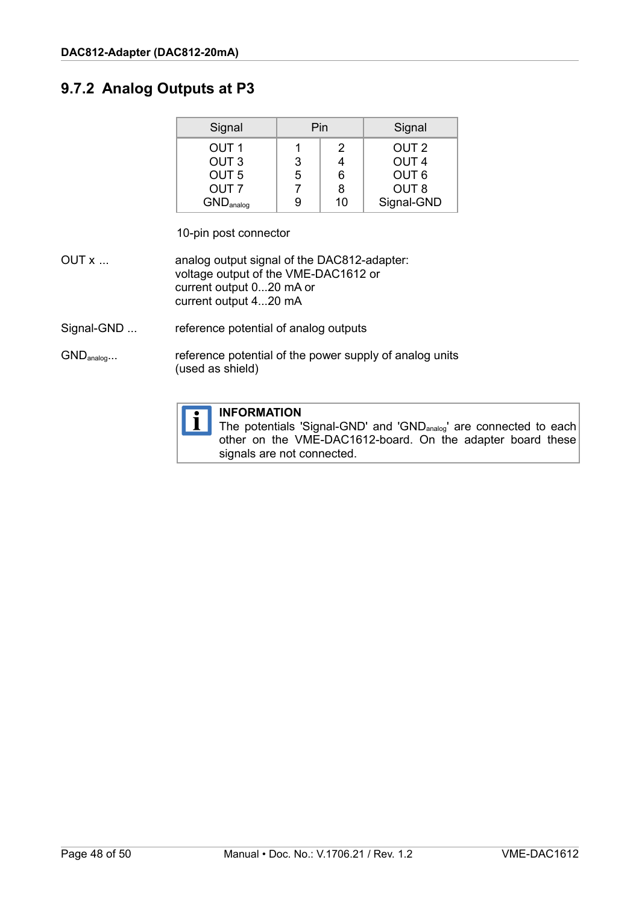### <span id="page-47-0"></span>**9.7.2 Analog Outputs at P3**

| Signal                       | Pin |    | Signal           |
|------------------------------|-----|----|------------------|
| OUT <sub>1</sub>             |     | 2  | OUT <sub>2</sub> |
| OUT <sub>3</sub>             | 3   |    | OUT <sub>4</sub> |
| OUT <sub>5</sub>             | 5   | 6  | OUT <sub>6</sub> |
| OUT <sub>7</sub>             |     | 8  | OUT <sub>8</sub> |
| <b>GND</b> <sub>analog</sub> |     | 10 | Signal-GND       |

10-pin post connector

- OUT x ... analog output signal of the DAC812-adapter: voltage output of the VME-DAC1612 or current output 0...20 mA or current output 4...20 mA
- Signal-GND ... reference potential of analog outputs
- GND<sub>analog</sub>... reference potential of the power supply of analog units (used as shield)

![](_page_47_Picture_7.jpeg)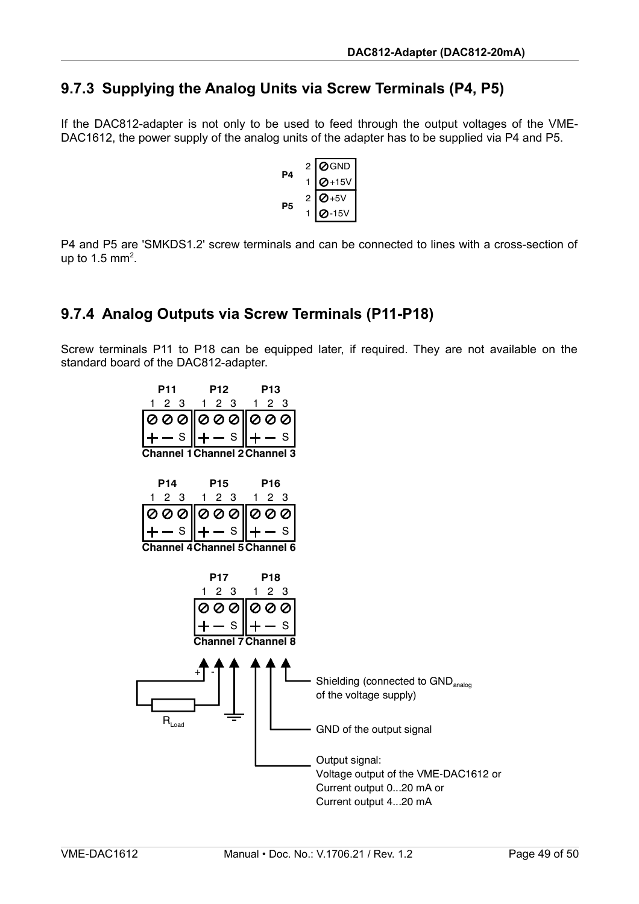### <span id="page-48-1"></span>**9.7.3 Supplying the Analog Units via Screw Terminals (P4, P5)**

If the DAC812-adapter is not only to be used to feed through the output voltages of the VME-DAC1612, the power supply of the analog units of the adapter has to be supplied via P4 and P5.

$$
\begin{array}{c|c}\n & 2 & \overline{\text{OGND}} \\
1 & \overline{\text{O+15V}} \\
 & 2 & \overline{\text{O+5V}} \\
 & 1 & \overline{\text{O-15V}}\n\end{array}
$$

P4 and P5 are 'SMKDS1.2' screw terminals and can be connected to lines with a cross-section of up to 1.5 mm<sup>2</sup>.

### <span id="page-48-0"></span>**9.7.4 Analog Outputs via Screw Terminals (P11-P18)**

Screw terminals P11 to P18 can be equipped later, if required. They are not available on the standard board of the DAC812-adapter.

![](_page_48_Figure_7.jpeg)